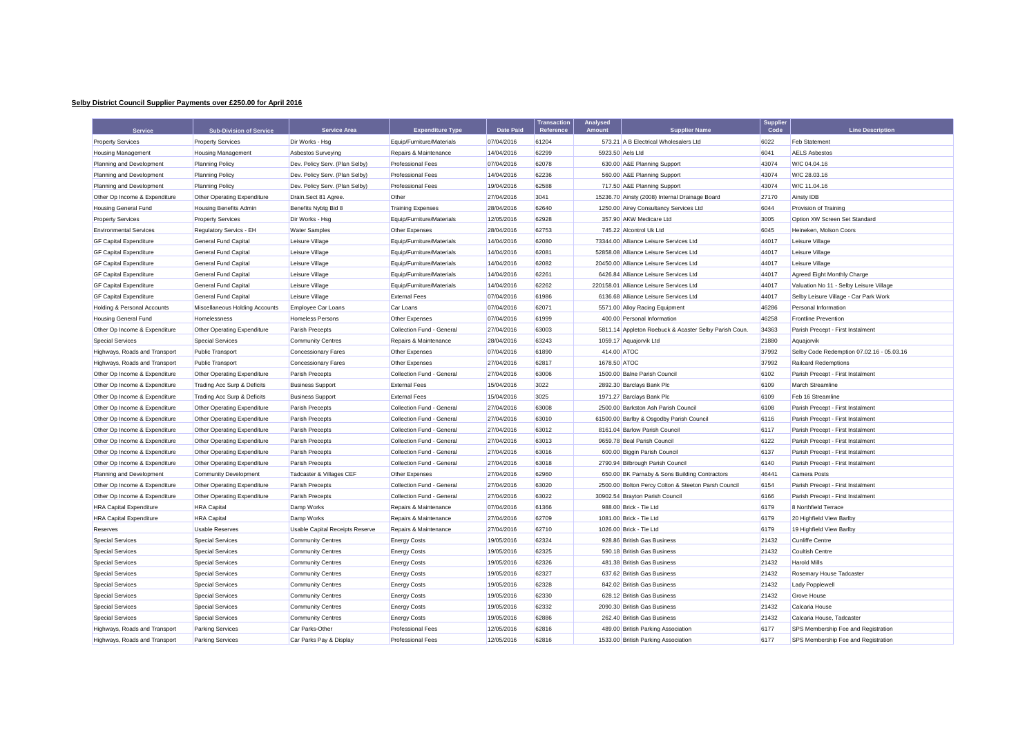## **Selby District Council Supplier Payments over £250.00 for April 2016**

| <b>Service</b>                 | <b>Sub-Division of Service</b> | <b>Service Area</b>             | <b>Expenditure Type</b>   | <b>Date Paid</b> | <b>Transaction</b><br>Reference | Analysed<br><b>Amount</b> | <b>Supplier Name</b>                                 | Supplier<br>Code | <b>Line Description</b>                   |
|--------------------------------|--------------------------------|---------------------------------|---------------------------|------------------|---------------------------------|---------------------------|------------------------------------------------------|------------------|-------------------------------------------|
| <b>Property Services</b>       | <b>Property Services</b>       | Dir Works - Hsg                 | Equip/Furniture/Materials | 07/04/2016       | 61204                           |                           | 573.21 A B Electrical Wholesalers Ltd                | 6022             | <b>Feb Statement</b>                      |
| <b>Housing Management</b>      | <b>Housing Management</b>      | <b>Asbestos Surveying</b>       | Repairs & Maintenance     | 14/04/2016       | 62299                           |                           | 5923.50 Aels Ltd                                     | 6041             | <b>AELS Asbestos</b>                      |
| Planning and Development       | <b>Planning Policy</b>         | Dev. Policy Serv. (Plan Selby)  | <b>Professional Fees</b>  | 07/04/2016       | 62078                           |                           | 630.00 A&E Planning Support                          | 43074            | W/C 04.04.16                              |
| Planning and Development       | <b>Planning Policy</b>         | Dev. Policy Serv. (Plan Selby)  | <b>Professional Fees</b>  | 14/04/2016       | 62236                           |                           | 560.00 A&E Planning Support                          | 43074            | W/C 28.03.16                              |
| Planning and Development       | <b>Planning Policy</b>         | Dev. Policy Serv. (Plan Selby)  | <b>Professional Fees</b>  | 19/04/2016       | 62588                           |                           | 717.50 A&E Planning Support                          | 43074            | W/C 11.04.16                              |
| Other Op Income & Expenditure  | Other Operating Expenditure    | Drain.Sect 81 Agree.            | Other                     | 27/04/2016       | 3041                            |                           | 15236.70 Ainsty (2008) Internal Drainage Board       | 27170            | Ainsty IDB                                |
| <b>Housing General Fund</b>    | <b>Housing Benefits Admin</b>  | Benefits Nybtg Bid 8            | <b>Training Expenses</b>  | 28/04/2016       | 62640                           |                           | 1250.00 Airey Consultancy Services Ltd               | 6044             | Provision of Training                     |
| <b>Property Services</b>       | <b>Property Services</b>       | Dir Works - Hsg                 | Equip/Furniture/Materials | 12/05/2016       | 62928                           |                           | 357.90 AKW Medicare Ltd                              | 3005             | Option XW Screen Set Standard             |
| <b>Environmental Services</b>  | Regulatory Servics - EH        | <b>Water Samples</b>            | Other Expenses            | 28/04/2016       | 62753                           |                           | 745.22 Alcontrol Uk Ltd                              | 6045             | Heineken, Molson Coors                    |
| <b>GF Capital Expenditure</b>  | <b>General Fund Capital</b>    | Leisure Village                 | Equip/Furniture/Materials | 14/04/2016       | 62080                           |                           | 73344.00 Alliance Leisure Services Ltd               | 44017            | Leisure Village                           |
| <b>GF Capital Expenditure</b>  | <b>General Fund Capital</b>    | Leisure Village                 | Equip/Furniture/Materials | 14/04/2016       | 62081                           |                           | 52858.08 Alliance Leisure Services Ltd               | 44017            | Leisure Village                           |
| <b>GF Capital Expenditure</b>  | <b>General Fund Capital</b>    | Leisure Village                 | Equip/Furniture/Materials | 14/04/2016       | 62082                           |                           | 20450.00 Alliance Leisure Services Ltd               | 44017            | Leisure Village                           |
| <b>GF Capital Expenditure</b>  | <b>General Fund Capital</b>    | Leisure Village                 | Equip/Furniture/Materials | 14/04/2016       | 62261                           |                           | 6426.84 Alliance Leisure Services Ltd                | 44017            | Agreed Eight Monthly Charge               |
| <b>GF Capital Expenditure</b>  | <b>General Fund Capital</b>    | Leisure Village                 | Equip/Furniture/Materials | 14/04/2016       | 62262                           |                           | 220158.01 Alliance Leisure Services Ltd              | 44017            | Valuation No 11 - Selby Leisure Village   |
| <b>GF Capital Expenditure</b>  | <b>General Fund Capital</b>    | Leisure Village                 | <b>External Fees</b>      | 07/04/2016       | 61986                           |                           | 6136.68 Alliance Leisure Services Ltd                | 44017            | Selby Leisure Village - Car Park Work     |
| Holding & Personal Accounts    | Miscellaneous Holding Accounts | <b>Employee Car Loans</b>       | Car Loans                 | 07/04/2016       | 62071                           |                           | 5571.00 Alloy Racing Equipment                       | 46286            | Personal Information                      |
| <b>Housing General Fund</b>    | Homelessness                   | <b>Homeless Persons</b>         | Other Expenses            | 07/04/2016       | 61999                           |                           | 400.00 Personal Information                          | 46258            | <b>Frontline Prevention</b>               |
| Other Op Income & Expenditure  | Other Operating Expenditure    | Parish Precepts                 | Collection Fund - General | 27/04/2016       | 63003                           |                           | 5811.14 Appleton Roebuck & Acaster Selby Parish Coun | 34363            | Parish Precept - First Instalmen          |
| <b>Special Services</b>        | <b>Special Services</b>        | <b>Community Centres</b>        | Repairs & Maintenance     | 28/04/2016       | 63243                           |                           | 1059.17 Aquajorvik Ltd                               | 21880            | Aquajorvik                                |
| Highways, Roads and Transport  | <b>Public Transport</b>        | <b>Concessionary Fares</b>      | Other Expenses            | 07/04/2016       | 61890                           | 414.00 ATOC               |                                                      | 37992            | Selby Code Redemption 07.02.16 - 05.03.16 |
| Highways, Roads and Transport  | Public Transport               | <b>Concessionary Fares</b>      | Other Expenses            | 27/04/2016       | 62817                           | 1678.50 ATOC              |                                                      | 37992            | <b>Railcard Redemptions</b>               |
| Other Op Income & Expenditure  | Other Operating Expenditure    | Parish Precepts                 | Collection Fund - General | 27/04/2016       | 63006                           |                           | 1500.00 Balne Parish Council                         | 6102             | Parish Precept - First Instalment         |
| Other Op Income & Expenditure  | Trading Acc Surp & Deficits    | <b>Business Support</b>         | <b>External Fees</b>      | 15/04/2016       | 3022                            |                           | 2892.30 Barclays Bank Plc                            | 6109             | March Streamline                          |
| Other Op Income & Expenditure  | Trading Acc Surp & Deficits    | <b>Business Support</b>         | <b>External Fees</b>      | 15/04/2016       | 3025                            |                           | 1971.27 Barclays Bank Plc                            | 6109             | Feb 16 Streamline                         |
| Other Op Income & Expenditure  | Other Operating Expenditure    | Parish Precepts                 | Collection Fund - General | 27/04/2016       | 63008                           |                           | 2500.00 Barkston Ash Parish Council                  | 6108             | Parish Precept - First Instalment         |
| Other Op Income & Expenditure  | Other Operating Expenditure    | Parish Precepts                 | Collection Fund - General | 27/04/2016       | 63010                           |                           | 61500.00 Barlby & Osgodby Parish Council             | 6116             | Parish Precept - First Instalment         |
| Other Op Income & Expenditure  | Other Operating Expenditure    | Parish Precepts                 | Collection Fund - General | 27/04/2016       | 63012                           |                           | 8161.04 Barlow Parish Council                        | 6117             | Parish Precept - First Instalment         |
| Other Op Income & Expenditure  | Other Operating Expenditure    | Parish Precepts                 | Collection Fund - General | 27/04/2016       | 63013                           |                           | 9659.78 Beal Parish Council                          | 6122             | Parish Precept - First Instalment         |
| Other Op Income & Expenditure  | Other Operating Expenditure    | Parish Precepts                 | Collection Fund - General | 27/04/2016       | 63016                           |                           | 600.00 Biggin Parish Council                         | 6137             | Parish Precept - First Instalment         |
| Other Op Income & Expenditure  | Other Operating Expenditure    | Parish Precepts                 | Collection Fund - General | 27/04/2016       | 63018                           |                           | 2790.94 Bilbrough Parish Council                     | 6140             | Parish Precept - First Instalment         |
| Planning and Development       | <b>Community Development</b>   | Tadcaster & Villages CEF        | Other Expenses            | 27/04/2016       | 62960                           |                           | 650.00 BK Parnaby & Sons Building Contractors        | 46441            | Camera Posts                              |
| Other Op Income & Expenditure  | Other Operating Expenditure    | Parish Precepts                 | Collection Fund - General | 27/04/2016       | 63020                           |                           | 2500.00 Bolton Percy Colton & Steeton Parsh Council  | 6154             | Parish Precept - First Instalment         |
| Other Op Income & Expenditure  | Other Operating Expenditure    | Parish Precepts                 | Collection Fund - General | 27/04/2016       | 63022                           |                           | 30902.54 Brayton Parish Council                      | 6166             | Parish Precept - First Instalment         |
| <b>HRA Capital Expenditure</b> | <b>HRA</b> Capital             | Damp Works                      | Repairs & Maintenance     | 07/04/2016       | 61366                           |                           | 988.00 Brick - Tie Ltd                               | 6179             | 8 Northfield Terrace                      |
| <b>HRA Capital Expenditure</b> | <b>HRA</b> Capital             | Damp Works                      | Repairs & Maintenance     | 27/04/2016       | 62709                           |                           | 1081.00 Brick - Tie Ltd                              | 6179             | 20 Highfield View Barlby                  |
| Reserves                       | <b>Usable Reserves</b>         | Usable Capital Receipts Reserve | Repairs & Maintenance     | 27/04/2016       | 62710                           |                           | 1026.00 Brick - Tie Ltd                              | 6179             | 19 Highfield View Barlby                  |
| <b>Special Services</b>        | <b>Special Services</b>        | <b>Community Centres</b>        | <b>Energy Costs</b>       | 19/05/2016       | 62324                           |                           | 928.86 British Gas Business                          | 21432            | <b>Cunliffe Centre</b>                    |
| <b>Special Services</b>        | <b>Special Services</b>        | <b>Community Centres</b>        | <b>Energy Costs</b>       | 19/05/2016       | 62325                           |                           | 590.18 British Gas Business                          | 21432            | <b>Coultish Centre</b>                    |
| <b>Special Services</b>        | <b>Special Services</b>        | <b>Community Centres</b>        | <b>Energy Costs</b>       | 19/05/2016       | 62326                           |                           | 481.38 British Gas Business                          | 21432            | <b>Harold Mills</b>                       |
| <b>Special Services</b>        | <b>Special Services</b>        | <b>Community Centres</b>        | <b>Energy Costs</b>       | 19/05/2016       | 62327                           |                           | 637.62 British Gas Business                          | 21432            | Rosemary House Tadcaster                  |
| <b>Special Services</b>        | <b>Special Services</b>        | <b>Community Centres</b>        | <b>Energy Costs</b>       | 19/05/2016       | 62328                           |                           | 842.02 British Gas Business                          | 21432            | Lady Popplewell                           |
| <b>Special Services</b>        | <b>Special Services</b>        | <b>Community Centres</b>        | <b>Energy Costs</b>       | 19/05/2016       | 62330                           |                           | 628.12 British Gas Business                          | 21432            | <b>Grove House</b>                        |
| <b>Special Services</b>        | <b>Special Services</b>        | <b>Community Centres</b>        | <b>Energy Costs</b>       | 19/05/2016       | 62332                           |                           | 2090.30 British Gas Business                         | 21432            | Calcaria House                            |
| <b>Special Services</b>        | <b>Special Services</b>        | <b>Community Centres</b>        | <b>Energy Costs</b>       | 19/05/2016       | 62886                           |                           | 262.40 British Gas Business                          | 21432            | Calcaria House, Tadcaster                 |
| Highways, Roads and Transport  | <b>Parking Services</b>        | Car Parks-Other                 | <b>Professional Fees</b>  | 12/05/2016       | 62816                           |                           | 489.00 British Parking Association                   | 6177             | SPS Membership Fee and Registration       |
| Highways, Roads and Transport  | <b>Parking Services</b>        | Car Parks Pay & Display         | <b>Professional Fees</b>  | 12/05/2016       | 62816                           |                           | 1533.00 British Parking Association                  | 6177             | SPS Membership Fee and Registration       |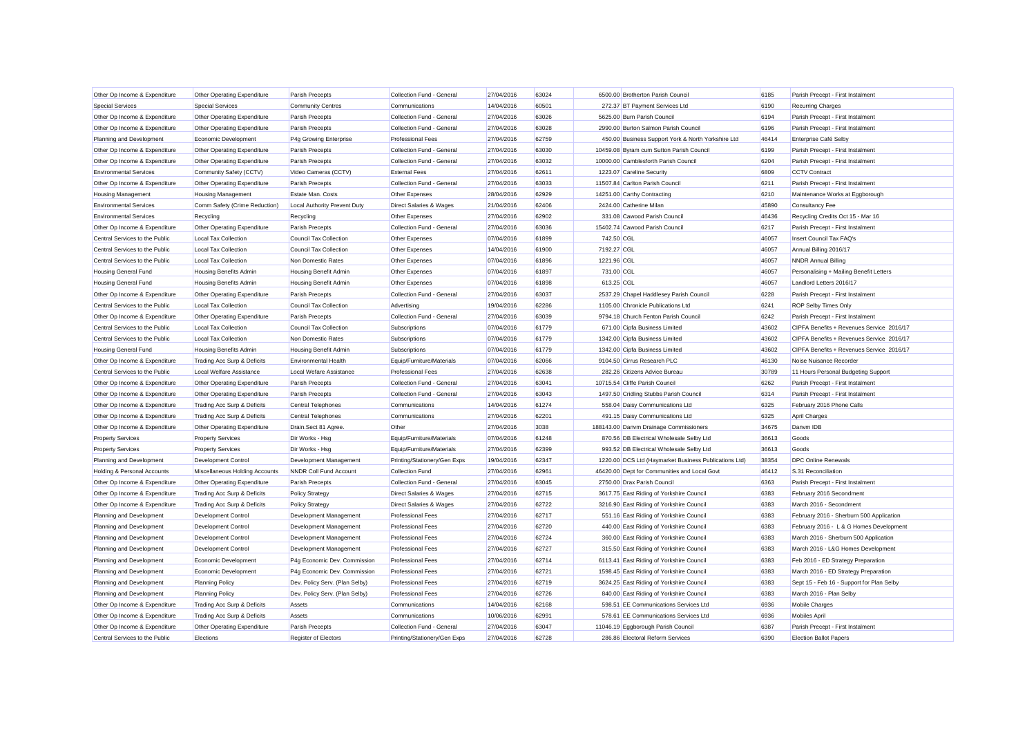| Other Op Income & Expenditure  | Other Operating Expenditure    | Parish Precepts                | Collection Fund - General    | 27/04/2016 | 63024 | 6500.00 Brotherton Parish Council                     | 6185  | Parish Precept - First Instalment         |
|--------------------------------|--------------------------------|--------------------------------|------------------------------|------------|-------|-------------------------------------------------------|-------|-------------------------------------------|
| <b>Special Services</b>        | <b>Special Services</b>        | <b>Community Centres</b>       | Communications               | 14/04/2016 | 60501 | 272.37 BT Payment Services Ltd                        | 6190  | <b>Recurring Charges</b>                  |
| Other Op Income & Expenditure  | Other Operating Expenditure    | Parish Precepts                | Collection Fund - General    | 27/04/2016 | 63026 | 5625.00 Burn Parish Council                           | 6194  | Parish Precept - First Instalment         |
| Other Op Income & Expenditure  | Other Operating Expenditure    | Parish Precepts                | Collection Fund - General    | 27/04/2016 | 63028 | 2990.00 Burton Salmon Parish Council                  | 6196  | Parish Precept - First Instalment         |
| Planning and Development       | <b>Economic Development</b>    | P4g Growing Enterprise         | <b>Professional Fees</b>     | 27/04/2016 | 62759 | 450.00 Business Support York & North Yorkshire Ltd    | 46414 | Enterprise Café Selby                     |
| Other Op Income & Expenditure  | Other Operating Expenditure    | Parish Precepts                | Collection Fund - General    | 27/04/2016 | 63030 | 10459.08 Byram cum Sutton Parish Council              | 6199  | Parish Precept - First Instalment         |
| Other Op Income & Expenditure  | Other Operating Expenditure    | Parish Precepts                | Collection Fund - General    | 27/04/2016 | 63032 | 10000.00 Camblesforth Parish Council                  | 6204  | Parish Precept - First Instalment         |
| <b>Environmental Services</b>  | Community Safety (CCTV)        | Video Cameras (CCTV)           | <b>External Fees</b>         | 27/04/2016 | 62611 | 1223.07 Careline Security                             | 6809  | <b>CCTV Contract</b>                      |
| Other Op Income & Expenditure  | Other Operating Expenditure    | Parish Precepts                | Collection Fund - General    | 27/04/2016 | 63033 | 11507.84 Carlton Parish Council                       | 6211  | Parish Precept - First Instalment         |
| Housing Management             | <b>Housing Management</b>      | Estate Man. Costs              | Other Expenses               | 28/04/2016 | 62929 | 14251.00 Carthy Contracting                           | 6210  | Maintenance Works at Eggborough           |
| <b>Environmental Services</b>  | Comm Safety (Crime Reduction)  | Local Authority Prevent Duty   | Direct Salaries & Wages      | 21/04/2016 | 62406 | 2424.00 Catherine Milan                               | 45890 | Consultancy Fee                           |
| <b>Environmental Services</b>  | Recycling                      | Recycling                      | Other Expenses               | 27/04/2016 | 62902 | 331.08 Cawood Parish Council                          | 46436 | Recycling Credits Oct 15 - Mar 16         |
| Other Op Income & Expenditure  | Other Operating Expenditure    | Parish Precepts                | Collection Fund - General    | 27/04/2016 | 63036 | 15402.74 Cawood Parish Council                        | 6217  | Parish Precept - First Instalment         |
| Central Services to the Public | <b>Local Tax Collection</b>    | <b>Council Tax Collection</b>  | Other Expenses               | 07/04/2016 | 61899 | 742.50 CGL                                            | 46057 | Insert Council Tax FAQ's                  |
| Central Services to the Public | <b>Local Tax Collection</b>    | <b>Council Tax Collection</b>  | Other Expenses               | 14/04/2016 | 61900 | 7192.27 CGL                                           | 46057 | Annual Billing 2016/17                    |
| Central Services to the Public | <b>Local Tax Collection</b>    | Non Domestic Rates             | Other Expenses               | 07/04/2016 | 61896 | 1221.96 CGL                                           | 46057 | <b>NNDR Annual Billing</b>                |
| <b>Housing General Fund</b>    | <b>Housing Benefits Admin</b>  | <b>Housing Benefit Admin</b>   | Other Expenses               | 07/04/2016 | 61897 | 731.00 CGL                                            | 46057 | Personalising + Mailing Benefit Letters   |
| <b>Housing General Fund</b>    | <b>Housing Benefits Admin</b>  | <b>Housing Benefit Admin</b>   | Other Expenses               | 07/04/2016 | 61898 | 613.25 CGL                                            | 46057 | Landlord Letters 2016/17                  |
| Other Op Income & Expenditure  | Other Operating Expenditure    | Parish Precepts                | Collection Fund - General    | 27/04/2016 | 63037 | 2537.29 Chapel Haddlesey Parish Council               | 6228  | Parish Precept - First Instalment         |
| Central Services to the Public | <b>Local Tax Collection</b>    | <b>Council Tax Collection</b>  | Advertising                  | 19/04/2016 | 62286 | 1105.00 Chronicle Publications Ltd                    | 6241  | <b>ROP Selby Times Only</b>               |
| Other Op Income & Expenditure  | Other Operating Expenditure    | Parish Precepts                | Collection Fund - General    | 27/04/2016 | 63039 | 9794.18 Church Fenton Parish Council                  | 6242  | Parish Precept - First Instalment         |
| Central Services to the Public | <b>Local Tax Collection</b>    | <b>Council Tax Collection</b>  | Subscriptions                | 07/04/2016 | 61779 | 671.00 Cipfa Business Limited                         | 43602 | CIPFA Benefits + Revenues Service 2016/17 |
| Central Services to the Public | <b>Local Tax Collection</b>    | Non Domestic Rates             | Subscriptions                | 07/04/2016 | 61779 | 1342.00 Cipfa Business Limited                        | 43602 | CIPFA Benefits + Revenues Service 2016/17 |
| <b>Housing General Fund</b>    | <b>Housing Benefits Admin</b>  | Housing Benefit Admin          | Subscriptions                | 07/04/2016 | 61779 | 1342.00 Cipfa Business Limited                        | 43602 | CIPFA Benefits + Revenues Service 2016/17 |
| Other Op Income & Expenditure  | Trading Acc Surp & Deficits    | <b>Environmental Health</b>    | Equip/Furniture/Materials    | 07/04/2016 | 62066 | 9104.50 Cirrus Research PLC                           | 46130 | Noise Nuisance Recorder                   |
| Central Services to the Public | Local Welfare Assistance       | Local Wefare Assistance        | <b>Professional Fees</b>     | 27/04/2016 | 62638 | 282.26 Citizens Advice Bureau                         | 30789 | 11 Hours Personal Budgeting Support       |
| Other Op Income & Expenditure  | Other Operating Expenditure    | Parish Precepts                | Collection Fund - General    | 27/04/2016 | 63041 | 10715.54 Cliffe Parish Council                        | 6262  | Parish Precept - First Instalment         |
| Other Op Income & Expenditure  | Other Operating Expenditure    | Parish Precepts                | Collection Fund - General    | 27/04/2016 | 63043 | 1497.50 Cridling Stubbs Parish Council                | 6314  | Parish Precept - First Instalment         |
| Other Op Income & Expenditure  | Trading Acc Surp & Deficits    | Central Telephones             | Communications               | 14/04/2016 | 61274 | 558.04 Daisy Communications Ltd                       | 6325  | February 2016 Phone Calls                 |
| Other Op Income & Expenditure  | Trading Acc Surp & Deficits    | Central Telephones             | Communications               | 27/04/2016 | 62201 | 491.15 Daisy Communications Ltd                       | 6325  | April Charges                             |
| Other Op Income & Expenditure  | Other Operating Expenditure    | Drain.Sect 81 Agree.           | Other                        | 27/04/2016 | 3038  | 188143.00 Danvm Drainage Commissioners                | 34675 | Danym IDB                                 |
| <b>Property Services</b>       | <b>Property Services</b>       | Dir Works - Hsa                | Equip/Furniture/Materials    | 07/04/2016 | 61248 | 870.56 DB Electrical Wholesale Selby Ltd              | 36613 | Goods                                     |
| <b>Property Services</b>       | <b>Property Services</b>       | Dir Works - Hsa                | Equip/Furniture/Materials    | 27/04/2016 | 62399 | 993.52 DB Electrical Wholesale Selby Ltd              | 36613 | Goods                                     |
| Planning and Development       | Development Control            | Development Management         | Printing/Stationery/Gen Exps | 19/04/2016 | 62347 | 1220.00 DCS Ltd (Haymarket Business Publications Ltd) | 38354 | <b>DPC Online Renewals</b>                |
| Holding & Personal Accounts    | Miscellaneous Holding Accounts | NNDR Coll Fund Account         | <b>Collection Fund</b>       | 27/04/2016 | 62961 | 46420.00 Dept for Communities and Local Govt          | 46412 | S.31 Reconciliation                       |
| Other Op Income & Expenditure  | Other Operating Expenditure    | Parish Precepts                | Collection Fund - General    | 27/04/2016 | 63045 | 2750.00 Drax Parish Council                           | 6363  | Parish Precept - First Instalment         |
| Other Op Income & Expenditure  | Trading Acc Surp & Deficits    | <b>Policy Strategy</b>         | Direct Salaries & Wages      | 27/04/2016 | 62715 | 3617.75 East Riding of Yorkshire Council              | 6383  | February 2016 Secondment                  |
| Other Op Income & Expenditure  | Trading Acc Surp & Deficits    | <b>Policy Strategy</b>         | Direct Salaries & Wages      | 27/04/2016 | 62722 | 3216.90 East Riding of Yorkshire Council              | 6383  | March 2016 - Secondment                   |
| Planning and Development       | Development Control            | Development Management         | <b>Professional Fees</b>     | 27/04/2016 | 62717 | 551.16 East Riding of Yorkshire Council               | 6383  | February 2016 - Sherburn 500 Application  |
| Planning and Development       | Development Control            | Development Management         | <b>Professional Fees</b>     | 27/04/2016 | 62720 | 440.00 East Riding of Yorkshire Council               | 6383  | February 2016 - L & G Homes Development   |
| Planning and Development       | Development Control            | Development Management         | <b>Professional Fees</b>     | 27/04/2016 | 62724 | 360.00 East Riding of Yorkshire Council               | 6383  | March 2016 - Sherburn 500 Application     |
| Planning and Development       | Development Control            | Development Management         | <b>Professional Fees</b>     | 27/04/2016 | 62727 | 315.50 East Riding of Yorkshire Council               | 6383  | March 2016 - L&G Homes Development        |
| Planning and Development       | Economic Development           | P4g Economic Dev. Commission   | <b>Professional Fees</b>     | 27/04/2016 | 62714 | 6113.41 East Riding of Yorkshire Council              | 6383  | Feb 2016 - ED Strategy Preparation        |
| Planning and Development       | Economic Development           | P4g Economic Dev. Commission   | <b>Professional Fees</b>     | 27/04/2016 | 62721 | 1598.45 East Riding of Yorkshire Council              | 6383  | March 2016 - ED Strategy Preparation      |
| Planning and Development       | <b>Planning Policy</b>         | Dev. Policy Serv. (Plan Selby) | <b>Professional Fees</b>     | 27/04/2016 | 62719 | 3624.25 East Riding of Yorkshire Council              | 6383  | Sept 15 - Feb 16 - Support for Plan Selby |
| Planning and Development       | <b>Planning Policy</b>         | Dev. Policy Serv. (Plan Selby) | <b>Professional Fees</b>     | 27/04/2016 | 62726 | 840.00 East Riding of Yorkshire Council               | 6383  | March 2016 - Plan Selby                   |
| Other Op Income & Expenditure  | Trading Acc Surp & Deficits    | Assets                         | Communications               | 14/04/2016 | 62168 | 598.51 EE Communications Services Ltd                 | 6936  | <b>Mobile Charges</b>                     |
| Other Op Income & Expenditure  | Trading Acc Surp & Deficits    | Assets                         | Communications               | 10/06/2016 | 62991 | 578.61 EE Communications Services Ltd                 | 6936  | <b>Mobiles April</b>                      |
| Other Op Income & Expenditure  | Other Operating Expenditure    | Parish Precepts                | Collection Fund - General    | 27/04/2016 | 63047 | 11046.19 Eggborough Parish Council                    | 6387  | Parish Precept - First Instalment         |
| Central Services to the Public | Elections                      | <b>Register of Electors</b>    | Printing/Stationerv/Gen Exps | 27/04/2016 | 62728 | 286.86 Electoral Reform Services                      | 6390  | <b>Election Ballot Papers</b>             |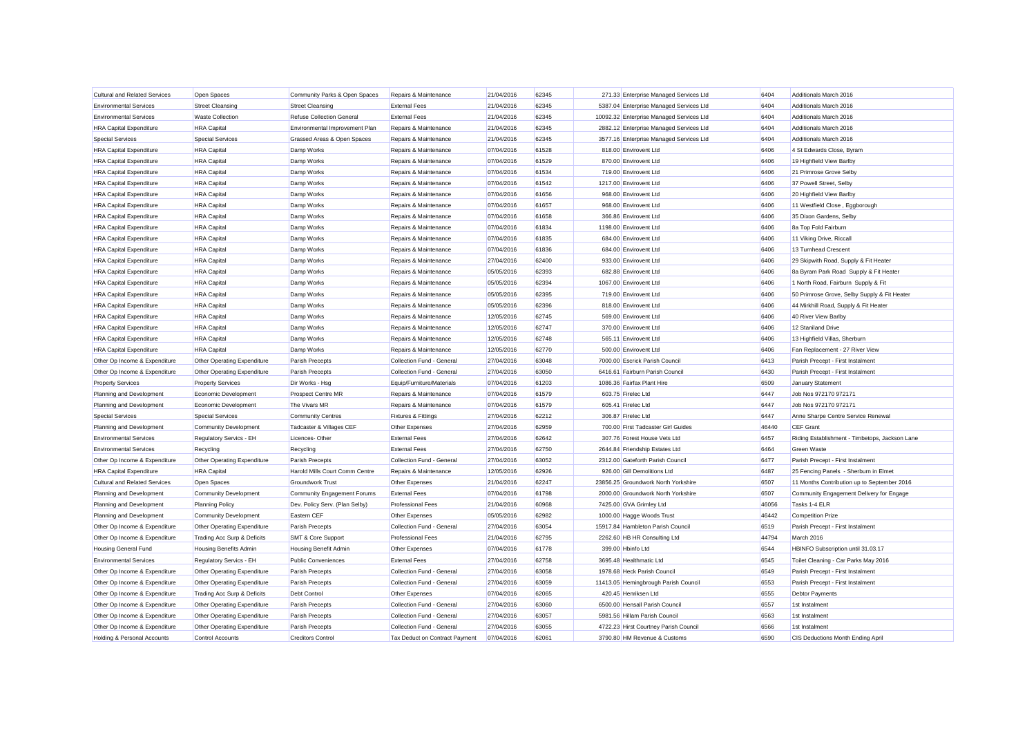| <b>Cultural and Related Services</b> | Open Spaces                   | Community Parks & Open Spaces    | Repairs & Maintenance          | 21/04/2016 | 62345 | 271.33 Enterprise Managed Services Ltd   | 6404  | Additionals March 2016                         |
|--------------------------------------|-------------------------------|----------------------------------|--------------------------------|------------|-------|------------------------------------------|-------|------------------------------------------------|
| <b>Environmental Services</b>        | <b>Street Cleansing</b>       | <b>Street Cleansing</b>          | <b>External Fees</b>           | 21/04/2016 | 62345 | 5387.04 Enterprise Managed Services Ltd  | 6404  | Additionals March 2016                         |
| <b>Environmental Services</b>        | <b>Waste Collection</b>       | <b>Refuse Collection General</b> | <b>External Fees</b>           | 21/04/2016 | 62345 | 10092.32 Enterprise Managed Services Ltd | 6404  | Additionals March 2016                         |
| <b>HRA Capital Expenditure</b>       | <b>HRA</b> Capital            | Environmental Improvement Plan   | Repairs & Maintenance          | 21/04/2016 | 62345 | 2882.12 Enterprise Managed Services Ltd  | 6404  | Additionals March 2016                         |
| <b>Special Services</b>              | <b>Special Services</b>       | Grassed Areas & Open Spaces      | Repairs & Maintenance          | 21/04/2016 | 62345 | 3577.16 Enterprise Managed Services Ltd  | 6404  | Additionals March 2016                         |
| <b>HRA Capital Expenditure</b>       | <b>HRA</b> Capital            | Damp Works                       | Repairs & Maintenance          | 07/04/2016 | 61528 | 818.00 Envirovent Ltd                    | 6406  | 4 St Edwards Close, Byram                      |
| <b>HRA Capital Expenditure</b>       | <b>HRA</b> Capital            | Damp Works                       | Repairs & Maintenance          | 07/04/2016 | 61529 | 870.00 Envirovent Ltd                    | 6406  | 19 Highfield View Barlby                       |
| <b>HRA Capital Expenditure</b>       | <b>HRA</b> Capital            | Damp Works                       | Repairs & Maintenance          | 07/04/2016 | 61534 | 719.00 Envirovent Ltd                    | 6406  | 21 Primrose Grove Selby                        |
| <b>HRA Capital Expenditure</b>       | <b>HRA</b> Capital            | Damp Works                       | Repairs & Maintenance          | 07/04/2016 | 61542 | 1217.00 Envirovent Ltd                   | 6406  | 37 Powell Street, Selby                        |
| <b>HRA Capital Expenditure</b>       | <b>HRA</b> Capital            | Damp Works                       | Repairs & Maintenance          | 07/04/2016 | 61656 | 968.00 Envirovent Ltd                    | 6406  | 20 Highfield View Barlby                       |
| <b>HRA Capital Expenditure</b>       | <b>HRA</b> Capital            | Damp Works                       | Repairs & Maintenance          | 07/04/2016 | 61657 | 968.00 Envirovent Ltd                    | 6406  | 11 Westfield Close, Eggborough                 |
| <b>HRA Capital Expenditure</b>       | <b>HRA</b> Capital            | Damp Works                       | Repairs & Maintenance          | 07/04/2016 | 61658 | 366.86 Envirovent Ltd                    | 6406  | 35 Dixon Gardens, Selby                        |
| <b>HRA Capital Expenditure</b>       | <b>HRA</b> Capital            | Damp Works                       | Repairs & Maintenance          | 07/04/2016 | 61834 | 1198.00 Envirovent Ltd                   | 6406  | 8a Top Fold Fairburn                           |
| <b>HRA Capital Expenditure</b>       | <b>HRA</b> Capital            | Damp Works                       | Repairs & Maintenance          | 07/04/2016 | 61835 | 684.00 Envirovent Ltd                    | 6406  | 11 Viking Drive, Riccall                       |
| <b>HRA Capital Expenditure</b>       | <b>HRA</b> Capital            | Damp Works                       | Repairs & Maintenance          | 07/04/2016 | 61836 | 684.00 Envirovent Ltd                    | 6406  | 13 Turnhead Crescent                           |
| <b>HRA Capital Expenditure</b>       | <b>HRA</b> Capital            | Damp Works                       | Repairs & Maintenance          | 27/04/2016 | 62400 | 933.00 Envirovent Ltd                    | 6406  | 29 Skipwith Road, Supply & Fit Heater          |
| <b>HRA Capital Expenditure</b>       | <b>HRA</b> Capital            | Damp Works                       | Repairs & Maintenance          | 05/05/2016 | 62393 | 682.88 Envirovent Ltd                    | 6406  | 8a Byram Park Road Supply & Fit Heater         |
| <b>HRA Capital Expenditure</b>       | <b>HRA</b> Capital            | Damp Works                       | Repairs & Maintenance          | 05/05/2016 | 62394 | 1067.00 Envirovent Ltd                   | 6406  | 1 North Road, Fairburn Supply & Fit            |
| <b>HRA Capital Expenditure</b>       | <b>HRA</b> Capital            | Damp Works                       | Repairs & Maintenance          | 05/05/2016 | 62395 | 719.00 Envirovent Ltd                    | 6406  | 50 Primrose Grove, Selby Supply & Fit Heater   |
| <b>HRA Capital Expenditure</b>       | <b>HRA</b> Capital            | Damp Works                       | Repairs & Maintenance          | 05/05/2016 | 62396 | 818.00 Envirovent Ltd                    | 6406  | 44 Mirkhill Road, Supply & Fit Heater          |
| <b>HRA Capital Expenditure</b>       | <b>HRA Capital</b>            | Damp Works                       | Repairs & Maintenance          | 12/05/2016 | 62745 | 569.00 Envirovent Ltd                    | 6406  | 40 River View Barlby                           |
| <b>HRA Capital Expenditure</b>       | <b>HRA</b> Capital            | Damp Works                       | Repairs & Maintenance          | 12/05/2016 | 62747 | 370.00 Envirovent Ltd                    | 6406  | 12 Staniland Drive                             |
| <b>HRA Capital Expenditure</b>       | <b>HRA</b> Capital            | Damp Works                       | Repairs & Maintenance          | 12/05/2016 | 62748 | 565.11 Envirovent Ltd                    | 6406  | 13 Highfield Villas, Sherburn                  |
| <b>HRA Capital Expenditure</b>       | <b>HRA</b> Capital            | Damp Works                       | Repairs & Maintenance          | 12/05/2016 | 62770 | 500.00 Envirovent Ltd                    | 6406  | Fan Replacement - 27 River View                |
| Other Op Income & Expenditure        | Other Operating Expenditure   | Parish Precepts                  | Collection Fund - General      | 27/04/2016 | 63048 | 7000.00 Escrick Parish Council           | 6413  | Parish Precept - First Instalment              |
| Other Op Income & Expenditure        | Other Operating Expenditure   | Parish Precepts                  | Collection Fund - General      | 27/04/2016 | 63050 | 6416.61 Fairburn Parish Council          | 6430  | Parish Precept - First Instalment              |
| <b>Property Services</b>             | <b>Property Services</b>      | Dir Works - Hsg                  | Equip/Furniture/Materials      | 07/04/2016 | 61203 | 1086.36 Fairfax Plant Hire               | 6509  | January Statement                              |
| Planning and Development             | Economic Development          | Prospect Centre MR               | Repairs & Maintenance          | 07/04/2016 | 61579 | 603.75 Firelec Ltd                       | 6447  | Job Nos 972170 972171                          |
| Planning and Development             | Economic Development          | The Vivars MR                    | Repairs & Maintenance          | 07/04/2016 | 61579 | 605.41 Firelec Ltd                       | 6447  | Job Nos 972170 972171                          |
| <b>Special Services</b>              | <b>Special Services</b>       | <b>Community Centres</b>         | Fixtures & Fittings            | 27/04/2016 | 62212 | 306.87 Firelec Ltd                       | 6447  | Anne Sharpe Centre Service Renewal             |
| Planning and Development             | <b>Community Development</b>  | Tadcaster & Villages CEF         | Other Expenses                 | 27/04/2016 | 62959 | 700.00 First Tadcaster Girl Guides       | 46440 | <b>CEF Grant</b>                               |
| <b>Environmental Services</b>        | Regulatory Servics - EH       | Licences-Other                   | <b>External Fees</b>           | 27/04/2016 | 62642 | 307.76 Forest House Vets Ltd             | 6457  | Riding Establishment - Timbetops, Jackson Lane |
| <b>Environmental Services</b>        | Recycling                     | Recycling                        | <b>External Fees</b>           | 27/04/2016 | 62750 | 2644.84 Friendship Estates Ltd           | 6464  | Green Waste                                    |
| Other Op Income & Expenditure        | Other Operating Expenditure   | Parish Precepts                  | Collection Fund - General      | 27/04/2016 | 63052 | 2312.00 Gateforth Parish Council         | 6477  | Parish Precept - First Instalment              |
| <b>HRA Capital Expenditure</b>       | <b>HRA</b> Capital            | Harold Mills Court Comm Centre   | Repairs & Maintenance          | 12/05/2016 | 62926 | 926.00 Gill Demolitions Ltd              | 6487  | 25 Fencing Panels - Sherburn in Elmet          |
| <b>Cultural and Related Services</b> | Open Spaces                   | <b>Groundwork Trust</b>          | Other Expenses                 | 21/04/2016 | 62247 | 23856.25 Groundwork North Yorkshire      | 6507  | 11 Months Contribution up to September 2016    |
| Planning and Development             | <b>Community Development</b>  | Community Engagement Forums      | <b>External Fees</b>           | 07/04/2016 | 61798 | 2000.00 Groundwork North Yorkshire       | 6507  | Community Engagement Delivery for Engage       |
| Planning and Development             | <b>Planning Policy</b>        | Dev. Policy Serv. (Plan Selby)   | <b>Professional Fees</b>       | 21/04/2016 | 60968 | 7425.00 GVA Grimley Ltd                  | 46056 | Tasks 1-4 ELR                                  |
| Planning and Development             | <b>Community Development</b>  | Eastern CEF                      | Other Expenses                 | 05/05/2016 | 62982 | 1000.00 Hagge Woods Trust                | 46442 | <b>Competition Prize</b>                       |
| Other Op Income & Expenditure        | Other Operating Expenditure   | Parish Precepts                  | Collection Fund - General      | 27/04/2016 | 63054 | 15917.84 Hambleton Parish Council        | 6519  | Parish Precept - First Instalment              |
| Other Op Income & Expenditure        | Trading Acc Surp & Deficits   | SMT & Core Support               | <b>Professional Fees</b>       | 21/04/2016 | 62795 | 2262.60 HB HR Consulting Ltd             | 44794 | March 2016                                     |
| <b>Housing General Fund</b>          | <b>Housing Benefits Admin</b> | <b>Housing Benefit Admin</b>     | Other Expenses                 | 07/04/2016 | 61778 | 399.00 Hbinfo Ltd                        | 6544  | HBINFO Subscription until 31.03.17             |
| <b>Environmental Services</b>        | Regulatory Servics - EH       | <b>Public Conveniences</b>       | <b>External Fees</b>           | 27/04/2016 | 62758 | 3695.48 Healthmatic Ltd                  | 6545  | Toilet Cleaning - Car Parks May 2016           |
| Other Op Income & Expenditure        | Other Operating Expenditure   | Parish Precepts                  | Collection Fund - General      | 27/04/2016 | 63058 | 1978.68 Heck Parish Council              | 6549  | Parish Precept - First Instalment              |
| Other Op Income & Expenditure        | Other Operating Expenditure   | Parish Precepts                  | Collection Fund - General      | 27/04/2016 | 63059 | 11413.05 Hemingbrough Parish Council     | 6553  | Parish Precept - First Instalment              |
| Other Op Income & Expenditure        | Trading Acc Surp & Deficits   | Debt Control                     | Other Expenses                 | 07/04/2016 | 62065 | 420.45 Henriksen Ltd                     | 6555  | Debtor Payments                                |
| Other Op Income & Expenditure        | Other Operating Expenditure   | Parish Precepts                  | Collection Fund - General      | 27/04/2016 | 63060 | 6500.00 Hensall Parish Council           | 6557  | 1st Instalment                                 |
| Other Op Income & Expenditure        | Other Operating Expenditure   | Parish Precepts                  | Collection Fund - General      | 27/04/2016 | 63057 | 5981.56 Hillam Parish Council            | 6563  | 1st Instalment                                 |
| Other Op Income & Expenditure        | Other Operating Expenditure   | Parish Precepts                  | Collection Fund - General      | 27/04/2016 | 63055 | 4722.23 Hirst Courtney Parish Council    | 6566  | 1st Instalment                                 |
| Holding & Personal Accounts          | <b>Control Accounts</b>       | <b>Creditors Control</b>         | Tax Deduct on Contract Payment | 07/04/2016 | 62061 | 3790.80 HM Revenue & Customs             | 6590  | CIS Deductions Month Ending April              |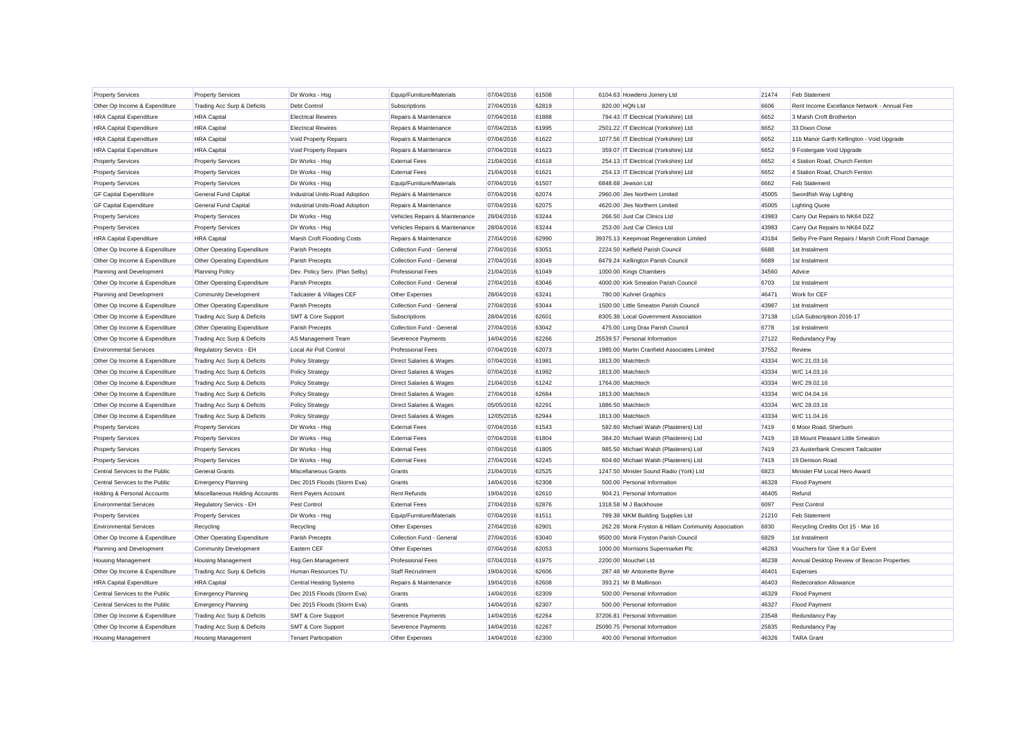| <b>Property Services</b>       | <b>Property Services</b>       | Dir Works - Hsg                | Equip/Furniture/Materials          | 07/04/2016 | 61508 | 6104.63 Howdens Joinery Ltd                        | 21474 | <b>Feb Statement</b>                               |
|--------------------------------|--------------------------------|--------------------------------|------------------------------------|------------|-------|----------------------------------------------------|-------|----------------------------------------------------|
| Other Op Income & Expenditure  | Trading Acc Surp & Deficits    | Debt Control                   | Subscriptions                      | 27/04/2016 | 62819 | 820.00 HQN Ltd                                     | 6606  | Rent Income Excellance Network - Annual Fee        |
| <b>HRA Capital Expenditure</b> | <b>HRA</b> Capital             | <b>Electrical Rewires</b>      | Repairs & Maintenance              | 07/04/2016 | 61888 | 794.43 IT Electrical (Yorkshire) Ltd               | 6652  | 3 Marsh Croft Brotherton                           |
| <b>HRA Capital Expenditure</b> | <b>HRA Capital</b>             | <b>Electrical Rewires</b>      | Repairs & Maintenance              | 07/04/2016 | 61995 | 2501.22 IT Electrical (Yorkshire) Ltd              | 6652  | 33 Dixon Close                                     |
| <b>HRA Capital Expenditure</b> | <b>HRA</b> Capital             | Void Property Repairs          | Repairs & Maintenance              | 07/04/2016 | 61622 | 1077.56 IT Electrical (Yorkshire) Ltd              | 6652  | 11b Manor Garth Kellington - Void Upgrade          |
| <b>HRA Capital Expenditure</b> | <b>HRA</b> Capital             | Void Property Repairs          | Repairs & Maintenance              | 07/04/2016 | 61623 | 359.07 IT Electrical (Yorkshire) Ltd               | 6652  | 9 Fostergate Void Upgrade                          |
| <b>Property Services</b>       | <b>Property Services</b>       | Dir Works - Hsg                | <b>External Fees</b>               | 21/04/2016 | 61618 | 254.13 IT Electrical (Yorkshire) Ltd               | 6652  | 4 Station Road, Church Fenton                      |
| <b>Property Services</b>       | <b>Property Services</b>       | Dir Works - Hsg                | <b>External Fees</b>               | 21/04/2016 | 61621 | 254.13 IT Electrical (Yorkshire) Ltd               | 6652  | 4 Station Road, Church Fenton                      |
| <b>Property Services</b>       | <b>Property Services</b>       | Dir Works - Hsg                | Equip/Furniture/Materials          | 07/04/2016 | 61507 | 6848.68 Jewson Ltd                                 | 6662  | <b>Feb Statement</b>                               |
| <b>GF Capital Expenditure</b>  | General Fund Capital           | Industrial Units-Road Adoption | Repairs & Maintenance              | 07/04/2016 | 62074 | 2960.00 Jles Northern Limited                      | 45005 | Swordfish Way Lighting                             |
| <b>GF Capital Expenditure</b>  | <b>General Fund Capital</b>    | Industrial Units-Road Adoption | Repairs & Maintenance              | 07/04/2016 | 62075 | 4620.00 Jles Northern Limited                      | 45005 | <b>Lighting Quote</b>                              |
| <b>Property Services</b>       | <b>Property Services</b>       | Dir Works - Hsg                | Vehicles Repairs & Maintenance     | 28/04/2016 | 63244 | 266.50 Just Car Clinics Ltd                        | 43983 | Carry Out Repairs to NK64 DZZ                      |
| <b>Property Services</b>       | <b>Property Services</b>       | Dir Works - Hsg                | Vehicles Repairs & Maintenance     | 28/04/2016 | 63244 | 253.00 Just Car Clinics Ltd                        | 43983 | Carry Out Repairs to NK64 DZZ                      |
| <b>HRA Capital Expenditure</b> | <b>HRA</b> Capital             | Marsh Croft Flooding Costs     | Repairs & Maintenance              | 27/04/2016 | 62990 | 39375.13 Keepmoat Regeneration Limited             | 43184 | Selby Pre-Paint Repairs / Marsh Croft Flood Damage |
| Other Op Income & Expenditure  | Other Operating Expenditure    | Parish Precepts                | Collection Fund - General          | 27/04/2016 | 63051 | 2224.50 Kelfield Parish Council                    | 6688  | 1st Instalment                                     |
| Other Op Income & Expenditure  | Other Operating Expenditure    | Parish Precepts                | Collection Fund - General          | 27/04/2016 | 63049 | 8479.24 Kellington Parish Council                  | 6689  | 1st Instalment                                     |
| Planning and Development       | <b>Planning Policy</b>         | Dev. Policy Serv. (Plan Selby) | <b>Professional Fees</b>           | 21/04/2016 | 61049 | 1000.00 Kings Chambers                             | 34560 | Advice                                             |
| Other Op Income & Expenditure  | Other Operating Expenditure    | Parish Precepts                | Collection Fund - General          | 27/04/2016 | 63046 | 4000.00 Kirk Smeaton Parish Council                | 6703  | 1st Instalment                                     |
| Planning and Development       | <b>Community Development</b>   | Tadcaster & Villages CEF       | Other Expenses                     | 28/04/2016 | 63241 | 780.00 Kuhnel Graphics                             | 46471 | Work for CEF                                       |
| Other Op Income & Expenditure  | Other Operating Expenditure    | Parish Precepts                | Collection Fund - General          | 27/04/2016 | 63044 | 1500.00 Little Smeaton Parish Council              | 43987 | 1st Instalment                                     |
| Other Op Income & Expenditure  | Trading Acc Surp & Deficits    | <b>SMT &amp; Core Support</b>  | Subscriptions                      | 28/04/2016 | 62601 | 8305.38 Local Government Association               | 37138 | LGA Subscription 2016-17                           |
| Other Op Income & Expenditure  | Other Operating Expenditure    | Parish Precepts                | Collection Fund - General          | 27/04/2016 | 63042 | 475.00 Long Drax Parish Council                    | 6778  | 1st Instalment                                     |
| Other Op Income & Expenditure  | Trading Acc Surp & Deficits    | AS Management Team             | Severence Payments                 | 14/04/2016 | 62266 | 25539.57 Personal Information                      | 27122 | Redundancy Pay                                     |
| <b>Environmental Services</b>  | Regulatory Servics - EH        | Local Air Poll Control         | <b>Professional Fees</b>           | 07/04/2016 | 62073 | 1985.00 Martin Cranfield Associates Limited        | 37552 | Review                                             |
| Other Op Income & Expenditure  | Trading Acc Surp & Deficits    | Policy Strategy                | Direct Salaries & Wages            | 07/04/2016 | 61981 | 1813.00 Matchtech                                  | 43334 | W/C 21.03.16                                       |
| Other Op Income & Expenditure  | Trading Acc Surp & Deficits    | Policy Strategy                | Direct Salaries & Wages            | 07/04/2016 | 61982 | 1813.00 Matchtech                                  | 43334 | W/C 14.03.16                                       |
| Other Op Income & Expenditure  | Trading Acc Surp & Deficits    | Policy Strategy                | Direct Salaries & Wages            | 21/04/2016 | 61242 | 1764.00 Matchtech                                  | 43334 | W/C 29.02.16                                       |
| Other Op Income & Expenditure  | Trading Acc Surp & Deficits    | <b>Policy Strategy</b>         | <b>Direct Salaries &amp; Wages</b> | 27/04/2016 | 62684 | 1813.00 Matchtech                                  | 43334 | W/C 04.04.16                                       |
| Other Op Income & Expenditure  | Trading Acc Surp & Deficits    | Policy Strategy                | Direct Salaries & Wages            | 05/05/2016 | 62291 | 1886.50 Matchtech                                  | 43334 | W/C 28.03.16                                       |
| Other Op Income & Expenditure  | Trading Acc Surp & Deficits    | <b>Policy Strategy</b>         | Direct Salaries & Wages            | 12/05/2016 | 62944 | 1813.00 Matchtech                                  | 43334 | W/C 11.04.16                                       |
| <b>Property Services</b>       | <b>Property Services</b>       | Dir Works - Hsg                | <b>External Fees</b>               | 07/04/2016 | 61543 | 592.60 Michael Walsh (Plasterers) Ltd              | 7419  | 6 Moor Road, Sherburn                              |
| <b>Property Services</b>       | <b>Property Services</b>       | Dir Works - Hsg                | <b>External Fees</b>               | 07/04/2016 | 61804 | 384.20 Michael Walsh (Plasterers) Ltd              | 7419  | 18 Mount Pleasant Little Smeaton                   |
| <b>Property Services</b>       | <b>Property Services</b>       | Dir Works - Hsg                | <b>External Fees</b>               | 07/04/2016 | 61805 | 985.50 Michael Walsh (Plasterers) Ltd              | 7419  | 23 Austerbank Crescent Tadcaster                   |
| <b>Property Services</b>       | <b>Property Services</b>       | Dir Works - Hsg                | <b>External Fees</b>               | 27/04/2016 | 62245 | 604.60 Michael Walsh (Plasterers) Ltd              | 7419  | 19 Denison Road                                    |
| Central Services to the Public | <b>General Grants</b>          | Miscellaneous Grants           | Grants                             | 21/04/2016 | 62525 | 1247.50 Minster Sound Radio (York) Ltd             | 6823  | Minister FM Local Hero Award                       |
| Central Services to the Public | <b>Emergency Planning</b>      | Dec 2015 Floods (Storm Eva)    | Grants                             | 14/04/2016 | 62308 | 500.00 Personal Information                        | 46328 | Flood Payment                                      |
| Holding & Personal Accounts    | Miscellaneous Holding Accounts | <b>Rent Payers Account</b>     | <b>Rent Refunds</b>                | 19/04/2016 | 62610 | 904.21 Personal Information                        | 46405 | Refund                                             |
| <b>Environmental Services</b>  | Regulatory Servics - EH        | Pest Control                   | <b>External Fees</b>               | 27/04/2016 | 62876 | 1318.58 M J Backhouse                              | 6097  | Pest Control                                       |
| <b>Property Services</b>       | <b>Property Services</b>       | Dir Works - Hsg                | Equip/Furniture/Materials          | 07/04/2016 | 61511 | 789.38 MKM Building Supplies Ltd                   | 21210 | Feb Statement                                      |
| <b>Environmental Services</b>  | Recycling                      | Recycling                      | Other Expenses                     | 27/04/2016 | 62901 | 262.28 Monk Fryston & Hillam Community Association | 6830  | Recycling Credits Oct 15 - Mar 16                  |
| Other Op Income & Expenditure  | Other Operating Expenditure    | Parish Precepts                | Collection Fund - General          | 27/04/2016 | 63040 | 9500.00 Monk Fryston Parish Council                | 6829  | 1st Instalment                                     |
| Planning and Development       | <b>Community Development</b>   | Eastern CEF                    | Other Expenses                     | 07/04/2016 | 62053 | 1000.00 Morrisons Supermarket Plc                  | 46263 | Vouchers for 'Give It a Go' Event                  |
| <b>Housing Management</b>      | <b>Housing Management</b>      | Hsg.Gen.Management             | <b>Professional Fees</b>           | 07/04/2016 | 61975 | 2200.00 Mouchel Ltd                                | 46238 | Annual Desktop Review of Beacon Properties         |
| Other Op Income & Expenditure  | Trading Acc Surp & Deficits    | Human Resources TU             | <b>Staff Recruitment</b>           | 19/04/2016 | 62606 | 287.48 Mr Antoinette Byrne                         | 46401 | Expenses                                           |
| <b>HRA Capital Expenditure</b> | <b>HRA</b> Capital             | <b>Central Heating Systems</b> | Repairs & Maintenance              | 19/04/2016 | 62608 | 393.21 Mr B Mallinson                              | 46403 | Redecoration Allowance                             |
| Central Services to the Public | <b>Emergency Planning</b>      | Dec 2015 Floods (Storm Eva)    | Grants                             | 14/04/2016 | 62309 | 500.00 Personal Information                        | 46329 | <b>Flood Payment</b>                               |
| Central Services to the Public | <b>Emergency Planning</b>      | Dec 2015 Floods (Storm Eva)    | Grants                             | 14/04/2016 | 62307 | 500.00 Personal Information                        | 46327 | Flood Payment                                      |
| Other Op Income & Expenditure  | Trading Acc Surp & Deficits    | SMT & Core Support             | Severence Payments                 | 14/04/2016 | 62264 | 37206.81 Personal Information                      | 23548 | Redundancy Pay                                     |
| Other Op Income & Expenditure  | Trading Acc Surp & Deficits    | SMT & Core Support             | Severence Payments                 | 14/04/2016 | 62267 | 25090.75 Personal Information                      | 25835 | Redundancy Pay                                     |
| <b>Housing Management</b>      | Housing Management             | <b>Tenant Participation</b>    | Other Expenses                     | 14/04/2016 | 62300 | 400.00 Personal Information                        | 46326 | <b>TARA Grant</b>                                  |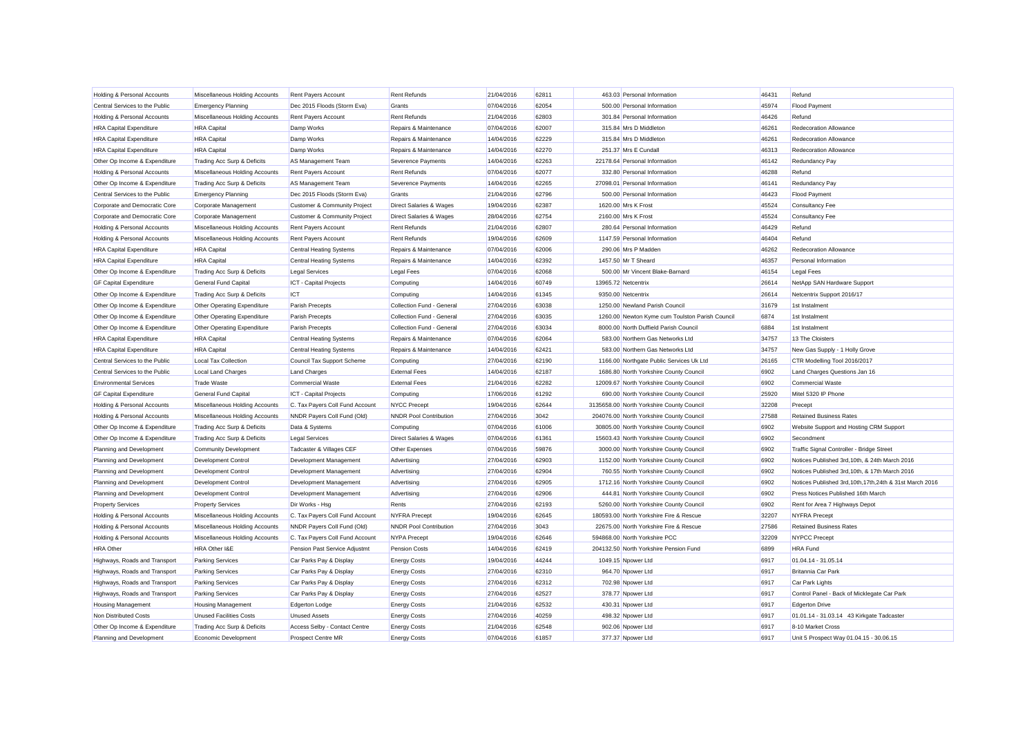| Holding & Personal Accounts    | Miscellaneous Holding Accounts | Rent Payers Account             | <b>Rent Refunds</b>                | 21/04/2016 | 62811 |                     | 463.03 Personal Information                     | 46431 | Refund                                                    |
|--------------------------------|--------------------------------|---------------------------------|------------------------------------|------------|-------|---------------------|-------------------------------------------------|-------|-----------------------------------------------------------|
| Central Services to the Public | <b>Emergency Planning</b>      | Dec 2015 Floods (Storm Eva)     | Grants                             | 07/04/2016 | 62054 |                     | 500.00 Personal Information                     | 45974 | <b>Flood Payment</b>                                      |
| Holding & Personal Accounts    | Miscellaneous Holding Accounts | Rent Payers Account             | Rent Refunds                       | 21/04/2016 | 62803 |                     | 301.84 Personal Information                     | 46426 | Refund                                                    |
| <b>HRA Capital Expenditure</b> | <b>HRA</b> Capital             | Damp Works                      | Repairs & Maintenance              | 07/04/2016 | 62007 |                     | 315.84 Mrs D Middleton                          | 46261 | Redecoration Allowance                                    |
| <b>HRA Capital Expenditure</b> | <b>HRA</b> Capital             | Damp Works                      | Repairs & Maintenance              | 14/04/2016 | 62229 |                     | 315.84 Mrs D Middleton                          | 46261 | Redecoration Allowance                                    |
| <b>HRA Capital Expenditure</b> | <b>HRA</b> Capital             | Damp Works                      | Repairs & Maintenance              | 14/04/2016 | 62270 |                     | 251.37 Mrs E Cundall                            | 46313 | Redecoration Allowance                                    |
| Other Op Income & Expenditure  | Trading Acc Surp & Deficits    | AS Management Team              | <b>Severence Payments</b>          | 14/04/2016 | 62263 |                     | 22178.64 Personal Information                   | 46142 | Redundancy Pay                                            |
| Holding & Personal Accounts    | Miscellaneous Holding Accounts | Rent Payers Account             | <b>Rent Refunds</b>                | 07/04/2016 | 62077 |                     | 332.80 Personal Information                     | 46288 | Refund                                                    |
| Other Op Income & Expenditure  | Trading Acc Surp & Deficits    | AS Management Team              | Severence Payments                 | 14/04/2016 | 62265 |                     | 27098.01 Personal Information                   | 46141 | Redundancy Pay                                            |
| Central Services to the Public | <b>Emergency Planning</b>      | Dec 2015 Floods (Storm Eva)     | Grants                             | 21/04/2016 | 62796 |                     | 500.00 Personal Information                     | 46423 | <b>Flood Payment</b>                                      |
| Corporate and Democratic Core  | Corporate Management           | Customer & Community Project    | Direct Salaries & Wages            | 19/04/2016 | 62387 |                     | 1620.00 Mrs K Frost                             | 45524 | Consultancy Fee                                           |
| Corporate and Democratic Core  | Corporate Management           | Customer & Community Project    | Direct Salaries & Wages            | 28/04/2016 | 62754 |                     | 2160.00 Mrs K Frost                             | 45524 | Consultancy Fee                                           |
| Holding & Personal Accounts    | Miscellaneous Holding Accounts | <b>Rent Payers Account</b>      | <b>Rent Refunds</b>                | 21/04/2016 | 62807 |                     | 280.64 Personal Information                     | 46429 | Refund                                                    |
| Holding & Personal Accounts    | Miscellaneous Holding Accounts | <b>Rent Payers Account</b>      | <b>Rent Refunds</b>                | 19/04/2016 | 62609 |                     | 1147.59 Personal Information                    | 46404 | Refund                                                    |
| <b>HRA Capital Expenditure</b> | <b>HRA</b> Capital             | <b>Central Heating Systems</b>  | Repairs & Maintenance              | 07/04/2016 | 62006 |                     | 290.06 Mrs P Madden                             | 46262 | Redecoration Allowance                                    |
| <b>HRA Capital Expenditure</b> | <b>HRA</b> Capital             | Central Heating Systems         | Repairs & Maintenance              | 14/04/2016 | 62392 |                     | 1457.50 Mr T Sheard                             | 46357 | Personal Information                                      |
| Other Op Income & Expenditure  | Trading Acc Surp & Deficits    | <b>Legal Services</b>           | Legal Fees                         | 07/04/2016 | 62068 |                     | 500.00 Mr Vincent Blake-Barnard                 | 46154 | Legal Fees                                                |
| <b>GF Capital Expenditure</b>  | <b>General Fund Capital</b>    | ICT - Capital Projects          | Computing                          | 14/04/2016 | 60749 | 13965.72 Netcentrix |                                                 | 26614 | NetApp SAN Hardware Support                               |
| Other Op Income & Expenditure  | Trading Acc Surp & Deficits    | ICT                             | Computing                          | 14/04/2016 | 61345 |                     | 9350.00 Netcentrix                              | 26614 | Netcentrix Support 2016/17                                |
| Other Op Income & Expenditure  | Other Operating Expenditure    | Parish Precepts                 | Collection Fund - General          | 27/04/2016 | 63038 |                     | 1250.00 Newland Parish Council                  | 31679 | 1st Instalment                                            |
| Other Op Income & Expenditure  | Other Operating Expenditure    | Parish Precepts                 | Collection Fund - General          | 27/04/2016 | 63035 |                     | 1260.00 Newton Kyme cum Toulston Parish Council | 6874  | 1st Instalment                                            |
| Other Op Income & Expenditure  | Other Operating Expenditure    | Parish Precepts                 | Collection Fund - General          | 27/04/2016 | 63034 |                     | 8000.00 North Duffield Parish Council           | 6884  | 1st Instalment                                            |
| <b>HRA Capital Expenditure</b> | <b>HRA</b> Capital             | <b>Central Heating Systems</b>  | Repairs & Maintenance              | 07/04/2016 | 62064 |                     | 583.00 Northern Gas Networks Ltd                | 34757 | 13 The Cloisters                                          |
| <b>HRA Capital Expenditure</b> | <b>HRA</b> Capital             | <b>Central Heating Systems</b>  | Repairs & Maintenance              | 14/04/2016 | 62421 |                     | 583.00 Northern Gas Networks Ltd                | 34757 | New Gas Supply - 1 Holly Grove                            |
| Central Services to the Public | <b>Local Tax Collection</b>    | Council Tax Support Scheme      | Computing                          | 27/04/2016 | 62190 |                     | 1166.00 Northgate Public Services Uk Ltd        | 26165 | CTR Modelling Tool 2016/2017                              |
| Central Services to the Public | <b>Local Land Charges</b>      | <b>Land Charges</b>             | <b>External Fees</b>               | 14/04/2016 | 62187 |                     | 1686.80 North Yorkshire County Council          | 6902  | Land Charges Questions Jan 16                             |
| <b>Environmental Services</b>  | <b>Trade Waste</b>             | <b>Commercial Waste</b>         | <b>External Fees</b>               | 21/04/2016 | 62282 |                     | 12009.67 North Yorkshire County Council         | 6902  | <b>Commercial Waste</b>                                   |
| <b>GF Capital Expenditure</b>  | <b>General Fund Capital</b>    | ICT - Capital Projects          | Computing                          | 17/06/2016 | 61292 |                     | 690.00 North Yorkshire County Council           | 25920 | Mitel 5320 IP Phone                                       |
| Holding & Personal Accounts    | Miscellaneous Holding Accounts | C. Tax Payers Coll Fund Account | <b>NYCC Precept</b>                | 19/04/2016 | 62644 |                     | 3135658.00 North Yorkshire County Council       | 32208 | Precept                                                   |
| Holding & Personal Accounts    | Miscellaneous Holding Accounts | NNDR Payers Coll Fund (Old)     | <b>NNDR Pool Contribution</b>      | 27/04/2016 | 3042  |                     | 204076.00 North Yorkshire County Council        | 27588 | <b>Retained Business Rates</b>                            |
| Other Op Income & Expenditure  | Trading Acc Surp & Deficits    | Data & Systems                  | Computing                          | 07/04/2016 | 61006 |                     | 30805.00 North Yorkshire County Council         | 6902  | Website Support and Hosting CRM Support                   |
| Other Op Income & Expenditure  | Trading Acc Surp & Deficits    | <b>Legal Services</b>           | <b>Direct Salaries &amp; Wages</b> | 07/04/2016 | 61361 |                     | 15603.43 North Yorkshire County Council         | 6902  | Secondment                                                |
| Planning and Development       | <b>Community Development</b>   | Tadcaster & Villages CEF        | Other Expenses                     | 07/04/2016 | 59876 |                     | 3000.00 North Yorkshire County Council          | 6902  | Traffic Signal Controller - Bridge Street                 |
| Planning and Development       | <b>Development Control</b>     | Development Management          | Advertising                        | 27/04/2016 | 62903 |                     | 1152.00 North Yorkshire County Council          | 6902  | Notices Published 3rd, 10th, & 24th March 2016            |
| Planning and Development       | <b>Development Control</b>     | Development Management          | Advertising                        | 27/04/2016 | 62904 |                     | 760.55 North Yorkshire County Council           | 6902  | Notices Published 3rd, 10th, & 17th March 2016            |
| Planning and Development       | <b>Development Control</b>     | Development Management          | Advertising                        | 27/04/2016 | 62905 |                     | 1712.16 North Yorkshire County Council          | 6902  | Notices Published 3rd, 10th, 17th, 24th & 31st March 2016 |
| Planning and Development       | <b>Development Control</b>     | Development Management          | Advertising                        | 27/04/2016 | 62906 |                     | 444.81 North Yorkshire County Council           | 6902  | Press Notices Published 16th March                        |
| <b>Property Services</b>       | <b>Property Services</b>       | Dir Works - Hsg                 | Rents                              | 27/04/2016 | 62193 |                     | 5260.00 North Yorkshire County Council          | 6902  | Rent for Area 7 Highways Depot                            |
| Holding & Personal Accounts    | Miscellaneous Holding Accounts | C. Tax Payers Coll Fund Account | <b>NYFRA Precept</b>               | 19/04/2016 | 62645 |                     | 180593.00 North Yorkshire Fire & Rescue         | 32207 | <b>NYFRA Precept</b>                                      |
| Holding & Personal Accounts    | Miscellaneous Holding Accounts | NNDR Payers Coll Fund (Old)     | <b>NNDR Pool Contribution</b>      | 27/04/2016 | 3043  |                     | 22675.00 North Yorkshire Fire & Rescue          | 27586 | <b>Retained Business Rates</b>                            |
| Holding & Personal Accounts    | Miscellaneous Holding Accounts | C. Tax Payers Coll Fund Account | <b>NYPA Precept</b>                | 19/04/2016 | 62646 |                     | 594868.00 North Yorkshire PCC                   | 32209 | <b>NYPCC Precept</b>                                      |
| <b>HRA</b> Other               | HRA Other I&E                  | Pension Past Service Adjustmt   | Pension Costs                      | 14/04/2016 | 62419 |                     | 204132.50 North Yorkshire Pension Fund          | 6899  | <b>HRA Fund</b>                                           |
| Highways, Roads and Transport  | <b>Parking Services</b>        | Car Parks Pay & Display         | <b>Energy Costs</b>                | 19/04/2016 | 44244 |                     | 1049.15 Npower Ltd                              | 6917  | 01.04.14 - 31.05.14                                       |
| Highways, Roads and Transport  | <b>Parking Services</b>        | Car Parks Pay & Display         | <b>Energy Costs</b>                | 27/04/2016 | 62310 |                     | 964.70 Npower Ltd                               | 6917  | Britannia Car Park                                        |
| Highways, Roads and Transport  | <b>Parking Services</b>        | Car Parks Pay & Display         | <b>Energy Costs</b>                | 27/04/2016 | 62312 |                     | 702.98 Npower Ltd                               | 6917  | Car Park Lights                                           |
| Highways, Roads and Transport  | <b>Parking Services</b>        | Car Parks Pay & Display         | <b>Energy Costs</b>                | 27/04/2016 | 62527 |                     | 378.77 Npower Ltd                               | 6917  | Control Panel - Back of Micklegate Car Park               |
| <b>Housing Management</b>      | <b>Housing Management</b>      | <b>Edgerton Lodge</b>           | <b>Energy Costs</b>                | 21/04/2016 | 62532 |                     | 430.31 Npower Ltd                               | 6917  | <b>Edgerton Drive</b>                                     |
| Non Distributed Costs          | <b>Unused Facilities Costs</b> | <b>Unused Assets</b>            | <b>Energy Costs</b>                | 27/04/2016 | 40259 |                     | 498.32 Npower Ltd                               | 6917  | 01.01.14 - 31.03.14 43 Kirkgate Tadcaster                 |
| Other Op Income & Expenditure  | Trading Acc Surp & Deficits    | Access Selby - Contact Centre   | <b>Energy Costs</b>                | 21/04/2016 | 62548 |                     | 902.06 Npower Ltd                               | 6917  | 8-10 Market Cross                                         |
| Planning and Development       | Economic Development           | <b>Prospect Centre MR</b>       | <b>Energy Costs</b>                | 07/04/2016 | 61857 |                     | 377.37 Npower Ltd                               | 6917  | Unit 5 Prospect Way 01.04.15 - 30.06.15                   |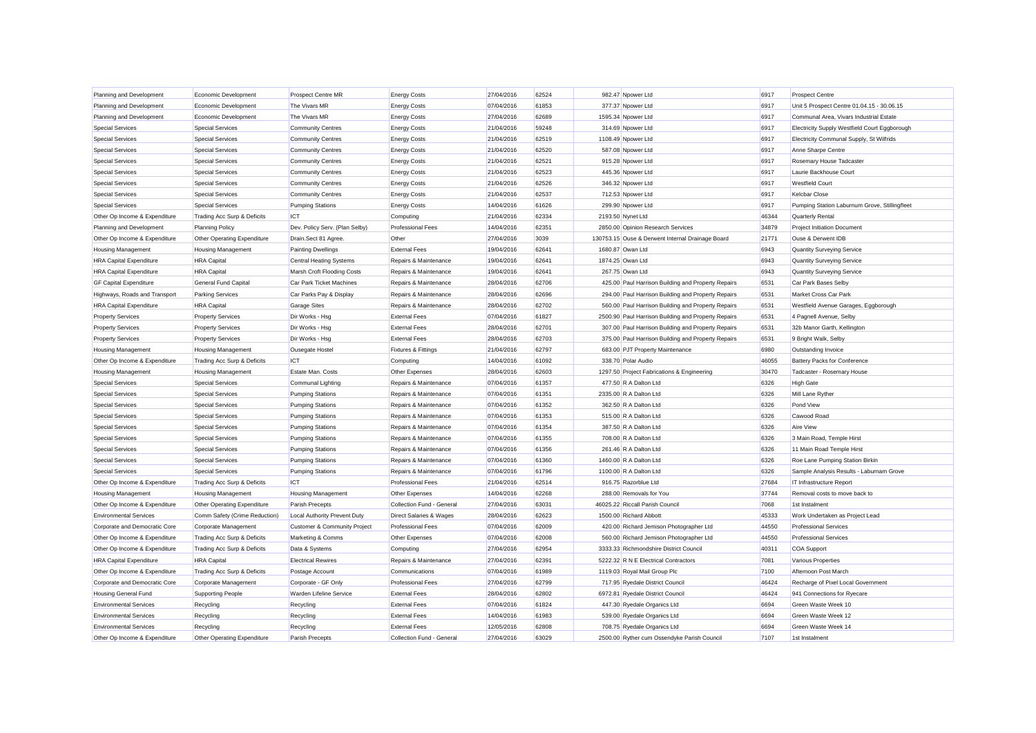| Planning and Development       | Economic Development          | Prospect Centre MR                      | <b>Energy Costs</b>       | 27/04/2016 | 62524 | 982.47 Npower Ltd                                   | 6917  | <b>Prospect Centre</b>                        |
|--------------------------------|-------------------------------|-----------------------------------------|---------------------------|------------|-------|-----------------------------------------------------|-------|-----------------------------------------------|
| Planning and Development       | Economic Development          | The Vivars MR                           | <b>Energy Costs</b>       | 07/04/2016 | 61853 | 377.37 Npower Ltd                                   | 6917  | Unit 5 Prospect Centre 01.04.15 - 30.06.15    |
| Planning and Development       | Economic Development          | The Vivars MR                           | <b>Energy Costs</b>       | 27/04/2016 | 62689 | 1595.34 Npower Ltd                                  | 6917  | Communal Area, Vivars Industrial Estate       |
| <b>Special Services</b>        | <b>Special Services</b>       | <b>Community Centres</b>                | <b>Energy Costs</b>       | 21/04/2016 | 59248 | 314.69 Npower Ltd                                   | 6917  | Electricity Supply Westfield Court Eggborough |
| <b>Special Services</b>        | <b>Special Services</b>       | <b>Community Centres</b>                | <b>Energy Costs</b>       | 21/04/2016 | 62519 | 1108.49 Npower Ltd                                  | 6917  | Electricity Communal Supply, St Wilfrids      |
| <b>Special Services</b>        | <b>Special Services</b>       | <b>Community Centres</b>                | <b>Energy Costs</b>       | 21/04/2016 | 62520 | 587.08 Npower Ltd                                   | 6917  | Anne Sharpe Centre                            |
| <b>Special Services</b>        | <b>Special Services</b>       | <b>Community Centres</b>                | <b>Energy Costs</b>       | 21/04/2016 | 62521 | 915.28 Npower Ltd                                   | 6917  | Rosemary House Tadcaster                      |
| <b>Special Services</b>        | <b>Special Services</b>       | <b>Community Centres</b>                | <b>Energy Costs</b>       | 21/04/2016 | 62523 | 445.36 Npower Ltd                                   | 6917  | Laurie Backhouse Court                        |
| <b>Special Services</b>        | <b>Special Services</b>       | <b>Community Centres</b>                | <b>Energy Costs</b>       | 21/04/2016 | 62526 | 346.32 Npower Ltd                                   | 6917  | <b>Westfield Court</b>                        |
| <b>Special Services</b>        | <b>Special Services</b>       | <b>Community Centres</b>                | <b>Energy Costs</b>       | 21/04/2016 | 62537 | 712.53 Npower Ltd                                   | 6917  | <b>Kelcbar Close</b>                          |
| <b>Special Services</b>        | <b>Special Services</b>       | <b>Pumping Stations</b>                 | <b>Energy Costs</b>       | 14/04/2016 | 61626 | 299.90 Npower Ltd                                   | 6917  | Pumping Station Laburnum Grove, Stillingfleet |
| Other Op Income & Expenditure  | Trading Acc Surp & Deficits   | ICT                                     | Computing                 | 21/04/2016 | 62334 | 2193.50 Nynet Ltd                                   | 46344 | Quarterly Rental                              |
| Planning and Development       | <b>Planning Policy</b>        | Dev. Policy Serv. (Plan Selby)          | <b>Professional Fees</b>  | 14/04/2016 | 62351 | 2850.00 Opinion Research Services                   | 34879 | <b>Project Initiation Document</b>            |
| Other Op Income & Expenditure  | Other Operating Expenditure   | Drain.Sect 81 Agree.                    | Other                     | 27/04/2016 | 3039  | 130753.15 Ouse & Derwent Internal Drainage Board    | 21771 | Ouse & Derwent IDB                            |
| <b>Housing Management</b>      | <b>Housing Management</b>     | <b>Painting Dwellings</b>               | <b>External Fees</b>      | 19/04/2016 | 62641 | 1680.87 Owan Ltd                                    | 6943  | Quantity Surveying Service                    |
| <b>HRA Capital Expenditure</b> | <b>HRA</b> Capital            | <b>Central Heating Systems</b>          | Repairs & Maintenance     | 19/04/2016 | 62641 | 1874.25 Owan Ltd                                    | 6943  | Quantity Surveying Service                    |
| <b>HRA Capital Expenditure</b> | <b>HRA</b> Capital            | Marsh Croft Flooding Costs              | Repairs & Maintenance     | 19/04/2016 | 62641 | 267.75 Owan Ltd                                     | 6943  | Quantity Surveying Service                    |
| <b>GF Capital Expenditure</b>  | General Fund Capital          | Car Park Ticket Machines                | Repairs & Maintenance     | 28/04/2016 | 62706 | 425.00 Paul Harrison Building and Property Repairs  | 6531  | Car Park Bases Selby                          |
| Highways, Roads and Transport  | <b>Parking Services</b>       | Car Parks Pay & Display                 | Repairs & Maintenance     | 28/04/2016 | 62696 | 294.00 Paul Harrison Building and Property Repairs  | 6531  | Market Cross Car Park                         |
| <b>HRA Capital Expenditure</b> | <b>HRA</b> Capital            | Garage Sites                            | Repairs & Maintenance     | 28/04/2016 | 62702 | 560.00 Paul Harrison Building and Property Repairs  | 6531  | Westfield Avenue Garages, Eggborough          |
| <b>Property Services</b>       | <b>Property Services</b>      | Dir Works - Hsg                         | <b>External Fees</b>      | 07/04/2016 | 61827 | 2500.90 Paul Harrison Building and Property Repairs | 6531  | 4 Pagnell Avenue, Selby                       |
| <b>Property Services</b>       | <b>Property Services</b>      | Dir Works - Hsg                         | <b>External Fees</b>      | 28/04/2016 | 62701 | 307.00 Paul Harrison Building and Property Repairs  | 6531  | 32b Manor Garth, Kellington                   |
| <b>Property Services</b>       | <b>Property Services</b>      | Dir Works - Hsg                         | <b>External Fees</b>      | 28/04/2016 | 62703 | 375.00 Paul Harrison Building and Property Repairs  | 6531  | 9 Bright Walk, Selby                          |
| <b>Housing Management</b>      | <b>Housing Management</b>     | Ousegate Hostel                         | Fixtures & Fittings       | 21/04/2016 | 62797 | 683.00 PJT Property Maintenance                     | 6980  | Outstanding Invoice                           |
| Other Op Income & Expenditure  | Trading Acc Surp & Deficits   | ICT                                     | Computing                 | 14/04/2016 | 61092 | 338.70 Polar Audio                                  | 46055 | <b>Battery Packs for Conference</b>           |
| <b>Housing Management</b>      | <b>Housing Management</b>     | Estate Man. Costs                       | Other Expenses            | 28/04/2016 | 62603 | 1297.50 Project Fabrications & Engineering          | 30470 | Tadcaster - Rosemary House                    |
| <b>Special Services</b>        | <b>Special Services</b>       | Communal Lighting                       | Repairs & Maintenance     | 07/04/2016 | 61357 | 477.50 R A Dalton Ltd                               | 6326  | <b>High Gate</b>                              |
| <b>Special Services</b>        | <b>Special Services</b>       | <b>Pumping Stations</b>                 | Repairs & Maintenance     | 07/04/2016 | 61351 | 2335.00 R A Dalton Ltd                              | 6326  | Mill Lane Ryther                              |
| <b>Special Services</b>        | <b>Special Services</b>       | <b>Pumping Stations</b>                 | Repairs & Maintenance     | 07/04/2016 | 61352 | 362.50 R A Dalton Ltd                               | 6326  | Pond View                                     |
| <b>Special Services</b>        | <b>Special Services</b>       | <b>Pumping Stations</b>                 | Repairs & Maintenance     | 07/04/2016 | 61353 | 515.00 R A Dalton Ltd                               | 6326  | Cawood Road                                   |
| <b>Special Services</b>        | <b>Special Services</b>       | <b>Pumping Stations</b>                 | Repairs & Maintenance     | 07/04/2016 | 61354 | 387.50 R A Dalton Ltd                               | 6326  | Aire View                                     |
| <b>Special Services</b>        | <b>Special Services</b>       | <b>Pumping Stations</b>                 | Repairs & Maintenance     | 07/04/2016 | 61355 | 708.00 R A Dalton Ltd                               | 6326  | 3 Main Road, Temple Hirst                     |
| <b>Special Services</b>        | <b>Special Services</b>       | <b>Pumping Stations</b>                 | Repairs & Maintenance     | 07/04/2016 | 61356 | 261.46 R A Dalton Ltd                               | 6326  | 11 Main Road Temple Hirst                     |
| <b>Special Services</b>        | <b>Special Services</b>       | <b>Pumping Stations</b>                 | Repairs & Maintenance     | 07/04/2016 | 61360 | 1460.00 R A Dalton Ltd                              | 6326  | Roe Lane Pumping Station Birkin               |
| <b>Special Services</b>        | <b>Special Services</b>       | <b>Pumping Stations</b>                 | Repairs & Maintenance     | 07/04/2016 | 61796 | 1100.00 R A Dalton Ltd                              | 6326  | Sample Analysis Results - Laburnam Grove      |
| Other Op Income & Expenditure  | Trading Acc Surp & Deficits   | <b>ICT</b>                              | <b>Professional Fees</b>  | 21/04/2016 | 62514 | 916.75 Razorblue Ltd                                | 27684 | IT Infrastructure Report                      |
| <b>Housing Management</b>      | <b>Housing Management</b>     | <b>Housing Management</b>               | Other Expenses            | 14/04/2016 | 62268 | 288.00 Removals for You                             | 37744 | Removal costs to move back to                 |
| Other Op Income & Expenditure  | Other Operating Expenditure   | Parish Precepts                         | Collection Fund - General | 27/04/2016 | 63031 | 46025.22 Riccall Parish Council                     | 7068  | 1st Instalment                                |
| <b>Environmental Services</b>  | Comm Safety (Crime Reduction) | Local Authority Prevent Duty            | Direct Salaries & Wages   | 28/04/2016 | 62623 | 1500.00 Richard Abbott                              | 45333 | Work Undertaken as Project Lead               |
| Corporate and Democratic Core  | Corporate Management          | <b>Customer &amp; Community Project</b> | <b>Professional Fees</b>  | 07/04/2016 | 62009 | 420.00 Richard Jemison Photographer Ltd             | 44550 | <b>Professional Services</b>                  |
| Other Op Income & Expenditure  | Trading Acc Surp & Deficits   | Marketing & Comms                       | Other Expenses            | 07/04/2016 | 62008 | 560.00 Richard Jemison Photographer Ltd             | 44550 | <b>Professional Services</b>                  |
| Other Op Income & Expenditure  | Trading Acc Surp & Deficits   | Data & Systems                          | Computing                 | 27/04/2016 | 62954 | 3333.33 Richmondshire District Council              | 40311 | COA Support                                   |
| <b>HRA Capital Expenditure</b> | <b>HRA Capital</b>            | <b>Electrical Rewires</b>               | Repairs & Maintenance     | 27/04/2016 | 62391 | 5222.32 R N E Electrical Contractors                | 7081  | Various Properties                            |
| Other Op Income & Expenditure  | Trading Acc Surp & Deficits   | Postage Account                         | Communications            | 07/04/2016 | 61989 | 1119.03 Royal Mail Group Plc                        | 7100  | Afternoon Post March                          |
| Corporate and Democratic Core  | Corporate Management          | Corporate - GF Only                     | <b>Professional Fees</b>  | 27/04/2016 | 62799 | 717.95 Ryedale District Council                     | 46424 | Recharge of Pixel Local Government            |
| <b>Housing General Fund</b>    | <b>Supporting People</b>      | Warden Lifeline Service                 | <b>External Fees</b>      | 28/04/2016 | 62802 | 6972.81 Ryedale District Council                    | 46424 | 941 Connections for Ryecare                   |
| <b>Environmental Services</b>  | Recycling                     | Recycling                               | <b>External Fees</b>      | 07/04/2016 | 61824 | 447.30 Ryedale Organics Ltd                         | 6694  | Green Waste Week 10                           |
| <b>Environmental Services</b>  | Recycling                     | Recycling                               | <b>External Fees</b>      | 14/04/2016 | 61983 | 539.00 Ryedale Organics Ltd                         | 6694  | Green Waste Week 12                           |
| <b>Environmental Services</b>  | Recycling                     | Recycling                               | <b>External Fees</b>      | 12/05/2016 | 62808 | 708.75 Ryedale Organics Ltd                         | 6694  | Green Waste Week 14                           |
| Other Op Income & Expenditure  | Other Operating Expenditure   | Parish Precepts                         | Collection Fund - General | 27/04/2016 | 63029 | 2500.00 Ryther cum Ossendyke Parish Council         | 7107  | 1st Instalment                                |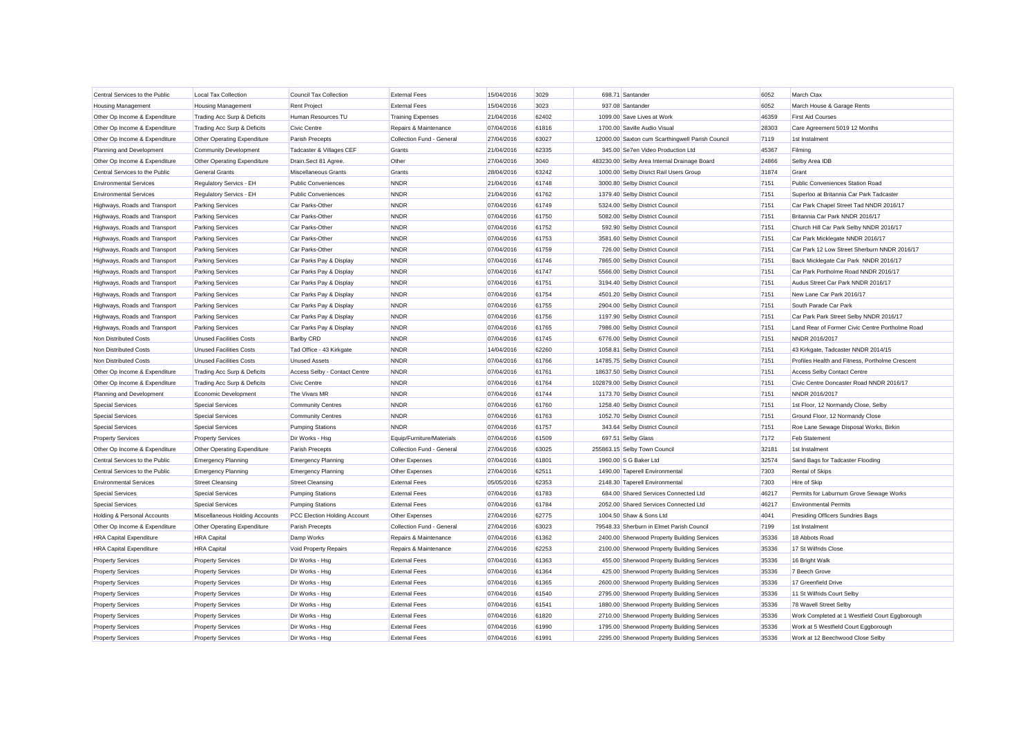| Central Services to the Public | <b>Local Tax Collection</b>    | Council Tax Collection        | <b>External Fees</b>      | 15/04/2016 | 3029  | 698.71 Santander                                 | 6052  | March Ctax                                      |
|--------------------------------|--------------------------------|-------------------------------|---------------------------|------------|-------|--------------------------------------------------|-------|-------------------------------------------------|
| <b>Housing Management</b>      | <b>Housing Management</b>      | <b>Rent Project</b>           | <b>External Fees</b>      | 15/04/2016 | 3023  | 937.08 Santander                                 | 6052  | March House & Garage Rents                      |
| Other Op Income & Expenditure  | Trading Acc Surp & Deficits    | Human Resources TU            | <b>Training Expenses</b>  | 21/04/2016 | 62402 | 1099.00 Save Lives at Work                       | 46359 | <b>First Aid Courses</b>                        |
| Other Op Income & Expenditure  | Trading Acc Surp & Deficits    | Civic Centre                  | Repairs & Maintenance     | 07/04/2016 | 61816 | 1700.00 Saville Audio Visual                     | 28303 | Care Agreement 5019 12 Months                   |
| Other Op Income & Expenditure  | Other Operating Expenditure    | Parish Precepts               | Collection Fund - General | 27/04/2016 | 63027 | 12000.00 Saxton cum Scarthingwell Parish Council | 7119  | 1st Instalment                                  |
| Planning and Development       | <b>Community Development</b>   | Tadcaster & Villages CEF      | Grants                    | 21/04/2016 | 62335 | 345.00 Se7en Video Production Ltd                | 45367 | Filming                                         |
| Other Op Income & Expenditure  | Other Operating Expenditure    | Drain.Sect 81 Agree           | Other                     | 27/04/2016 | 3040  | 483230.00 Selby Area Internal Drainage Board     | 24866 | Selby Area IDB                                  |
| Central Services to the Public | <b>General Grants</b>          | Miscellaneous Grants          | Grants                    | 28/04/2016 | 63242 | 1000.00 Selby Disrict Rail Users Group           | 31874 | Grant                                           |
| <b>Environmental Services</b>  | Regulatory Servics - EH        | <b>Public Conveniences</b>    | <b>NNDR</b>               | 21/04/2016 | 61748 | 3000.80 Selby District Council                   | 7151  | Public Conveniences Station Road                |
| <b>Environmental Services</b>  | Regulatory Servics - EH        | <b>Public Conveniences</b>    | <b>NNDR</b>               | 21/04/2016 | 61762 | 1379.40 Selby District Council                   | 7151  | Superloo at Britannia Car Park Tadcaster        |
| Highways, Roads and Transport  | <b>Parking Services</b>        | Car Parks-Other               | <b>NNDR</b>               | 07/04/2016 | 61749 | 5324.00 Selby District Council                   | 7151  | Car Park Chapel Street Tad NNDR 2016/17         |
| Highways, Roads and Transport  | <b>Parking Services</b>        | Car Parks-Other               | <b>NNDR</b>               | 07/04/2016 | 61750 | 5082.00 Selby District Council                   | 7151  | Britannia Car Park NNDR 2016/17                 |
| Highways, Roads and Transport  | <b>Parking Services</b>        | Car Parks-Other               | <b>NNDR</b>               | 07/04/2016 | 61752 | 592.90 Selby District Council                    | 7151  | Church Hill Car Park Selby NNDR 2016/17         |
| Highways, Roads and Transport  | <b>Parking Services</b>        | Car Parks-Other               | <b>NNDR</b>               | 07/04/2016 | 61753 | 3581.60 Selby District Council                   | 7151  | Car Park Micklegate NNDR 2016/17                |
| Highways, Roads and Transport  | <b>Parking Services</b>        | Car Parks-Other               | <b>NNDR</b>               | 07/04/2016 | 61759 | 726.00 Selby District Council                    | 7151  | Car Park 12 Low Street Sherburn NNDR 2016/17    |
| Highways, Roads and Transport  | <b>Parking Services</b>        | Car Parks Pay & Display       | <b>NNDR</b>               | 07/04/2016 | 61746 | 7865.00 Selby District Council                   | 7151  | Back Micklegate Car Park NNDR 2016/17           |
| Highways, Roads and Transport  | <b>Parking Services</b>        | Car Parks Pay & Display       | <b>NNDR</b>               | 07/04/2016 | 61747 | 5566.00 Selby District Council                   | 7151  | Car Park Portholme Road NNDR 2016/17            |
| Highways, Roads and Transport  | <b>Parking Services</b>        | Car Parks Pay & Display       | <b>NNDR</b>               | 07/04/2016 | 61751 | 3194.40 Selby District Council                   | 7151  | Audus Street Car Park NNDR 2016/17              |
| Highways, Roads and Transport  | <b>Parking Services</b>        | Car Parks Pay & Display       | <b>NNDR</b>               | 07/04/2016 | 61754 | 4501.20 Selby District Council                   | 7151  | New Lane Car Park 2016/17                       |
| Highways, Roads and Transport  | <b>Parking Services</b>        | Car Parks Pay & Display       | <b>NNDR</b>               | 07/04/2016 | 61755 | 2904.00 Selby District Council                   | 7151  | South Parade Car Park                           |
| Highways, Roads and Transport  | <b>Parking Services</b>        | Car Parks Pay & Display       | <b>NNDR</b>               | 07/04/2016 | 61756 | 1197.90 Selby District Council                   | 7151  | Car Park Park Street Selby NNDR 2016/17         |
| Highways, Roads and Transport  | <b>Parking Services</b>        | Car Parks Pay & Display       | <b>NNDR</b>               | 07/04/2016 | 61765 | 7986.00 Selby District Council                   | 7151  | Land Rear of Former Civic Centre Portholme Road |
| Non Distributed Costs          | <b>Unused Facilities Costs</b> | <b>Barlby CRD</b>             | <b>NNDR</b>               | 07/04/2016 | 61745 | 6776.00 Selby District Council                   | 7151  | NNDR 2016/2017                                  |
| Non Distributed Costs          | <b>Unused Facilities Costs</b> | Tad Office - 43 Kirkgate      | <b>NNDR</b>               | 14/04/2016 | 62260 | 1058.81 Selby District Council                   | 7151  | 43 Kirkgate, Tadcaster NNDR 2014/15             |
| Non Distributed Costs          | <b>Unused Facilities Costs</b> | <b>Unused Assets</b>          | <b>NNDR</b>               | 07/04/2016 | 61766 | 14785.75 Selby District Council                  | 7151  | Profiles Health and Fitness, Portholme Crescent |
| Other Op Income & Expenditure  | Trading Acc Surp & Deficits    | Access Selby - Contact Centre | <b>NNDR</b>               | 07/04/2016 | 61761 | 18637.50 Selby District Council                  | 7151  | <b>Access Selby Contact Centre</b>              |
| Other Op Income & Expenditure  | Trading Acc Surp & Deficits    | Civic Centre                  | <b>NNDR</b>               | 07/04/2016 | 61764 | 102879.00 Selby District Council                 | 7151  | Civic Centre Doncaster Road NNDR 2016/17        |
| Planning and Development       | Economic Development           | The Vivars MR                 | <b>NNDR</b>               | 07/04/2016 | 61744 | 1173.70 Selby District Council                   | 7151  | NNDR 2016/2017                                  |
| <b>Special Services</b>        | <b>Special Services</b>        | <b>Community Centres</b>      | <b>NNDR</b>               | 07/04/2016 | 61760 | 1258.40 Selby District Council                   | 7151  | 1st Floor, 12 Normandy Close, Selby             |
| <b>Special Services</b>        | <b>Special Services</b>        | <b>Community Centres</b>      | <b>NNDR</b>               | 07/04/2016 | 61763 | 1052.70 Selby District Council                   | 7151  | Ground Floor, 12 Normandy Close                 |
| <b>Special Services</b>        | <b>Special Services</b>        | <b>Pumping Stations</b>       | <b>NNDR</b>               | 07/04/2016 | 61757 | 343.64 Selby District Council                    | 7151  | Roe Lane Sewage Disposal Works, Birkin          |
| <b>Property Services</b>       | <b>Property Services</b>       | Dir Works - Hsg               | Equip/Furniture/Materials | 07/04/2016 | 61509 | 697.51 Selby Glass                               | 7172  | <b>Feb Statement</b>                            |
| Other Op Income & Expenditure  | Other Operating Expenditure    | Parish Precepts               | Collection Fund - General | 27/04/2016 | 63025 | 255863.15 Selby Town Council                     | 32181 | 1st Instalment                                  |
| Central Services to the Public | <b>Emergency Planning</b>      | <b>Emergency Planning</b>     | Other Expenses            | 07/04/2016 | 61801 | 1960.00 S G Baker Ltd                            | 32574 | Sand Bags for Tadcaster Flooding                |
| Central Services to the Public | <b>Emergency Planning</b>      | <b>Emergency Planning</b>     | Other Expenses            | 27/04/2016 | 62511 | 1490.00 Taperell Environmental                   | 7303  | <b>Rental of Skips</b>                          |
| <b>Environmental Services</b>  | <b>Street Cleansing</b>        | <b>Street Cleansing</b>       | <b>External Fees</b>      | 05/05/2016 | 62353 | 2148.30 Taperell Environmental                   | 7303  | Hire of Skip                                    |
| <b>Special Services</b>        | <b>Special Services</b>        | <b>Pumping Stations</b>       | <b>External Fees</b>      | 07/04/2016 | 61783 | 684.00 Shared Services Connected Ltd             | 46217 | Permits for Laburnum Grove Sewage Works         |
| <b>Special Services</b>        | <b>Special Services</b>        | <b>Pumping Stations</b>       | <b>External Fees</b>      | 07/04/2016 | 61784 | 2052.00 Shared Services Connected Ltd            | 46217 | <b>Environmental Permits</b>                    |
| Holding & Personal Accounts    | Miscellaneous Holding Accounts | PCC Election Holding Account  | Other Expenses            | 27/04/2016 | 62775 | 1004.50 Shaw & Sons Ltd                          | 4041  | Presiding Officers Sundries Bags                |
| Other Op Income & Expenditure  | Other Operating Expenditure    | Parish Precepts               | Collection Fund - General | 27/04/2016 | 63023 | 79548.33 Sherburn in Elmet Parish Council        | 7199  | 1st Instalment                                  |
| <b>HRA Capital Expenditure</b> | <b>HRA</b> Capital             | Damp Works                    | Repairs & Maintenance     | 07/04/2016 | 61362 | 2400.00 Sherwood Property Building Services      | 35336 | 18 Abbots Road                                  |
| <b>HRA Capital Expenditure</b> | <b>HRA</b> Capital             | Void Property Repairs         | Repairs & Maintenance     | 27/04/2016 | 62253 | 2100.00 Sherwood Property Building Services      | 35336 | 17 St Wilfrids Close                            |
| <b>Property Services</b>       | <b>Property Services</b>       | Dir Works - Hsg               | <b>External Fees</b>      | 07/04/2016 | 61363 | 455.00 Sherwood Property Building Services       | 35336 | 16 Bright Walk                                  |
| <b>Property Services</b>       | <b>Property Services</b>       | Dir Works - Hsg               | <b>External Fees</b>      | 07/04/2016 | 61364 | 425.00 Sherwood Property Building Services       | 35336 | 7 Beech Grove                                   |
| <b>Property Services</b>       | <b>Property Services</b>       | Dir Works - Hsg               | <b>External Fees</b>      | 07/04/2016 | 61365 | 2600.00 Sherwood Property Building Services      | 35336 | 17 Greenfield Drive                             |
| <b>Property Services</b>       | <b>Property Services</b>       | Dir Works - Hsg               | <b>External Fees</b>      | 07/04/2016 | 61540 | 2795.00 Sherwood Property Building Services      | 35336 | 11 St Wilfrids Court Selby                      |
| <b>Property Services</b>       | <b>Property Services</b>       | Dir Works - Hsg               | <b>External Fees</b>      | 07/04/2016 | 61541 | 1880.00 Sherwood Property Building Services      | 35336 | 78 Wavell Street Selby                          |
| <b>Property Services</b>       | <b>Property Services</b>       | Dir Works - Hsa               | <b>External Fees</b>      | 07/04/2016 | 61820 | 2710.00 Sherwood Property Building Services      | 35336 | Work Completed at 1 Westfield Court Eggborough  |
| <b>Property Services</b>       | <b>Property Services</b>       | Dir Works - Hsa               | <b>External Fees</b>      | 07/04/2016 | 61990 | 1795.00 Sherwood Property Building Services      | 35336 | Work at 5 Westfield Court Eggborough            |
| <b>Property Services</b>       | <b>Property Services</b>       | Dir Works - Hsa               | <b>External Fees</b>      | 07/04/2016 | 61991 | 2295.00 Sherwood Property Building Services      | 35336 | Work at 12 Beechwood Close Selby                |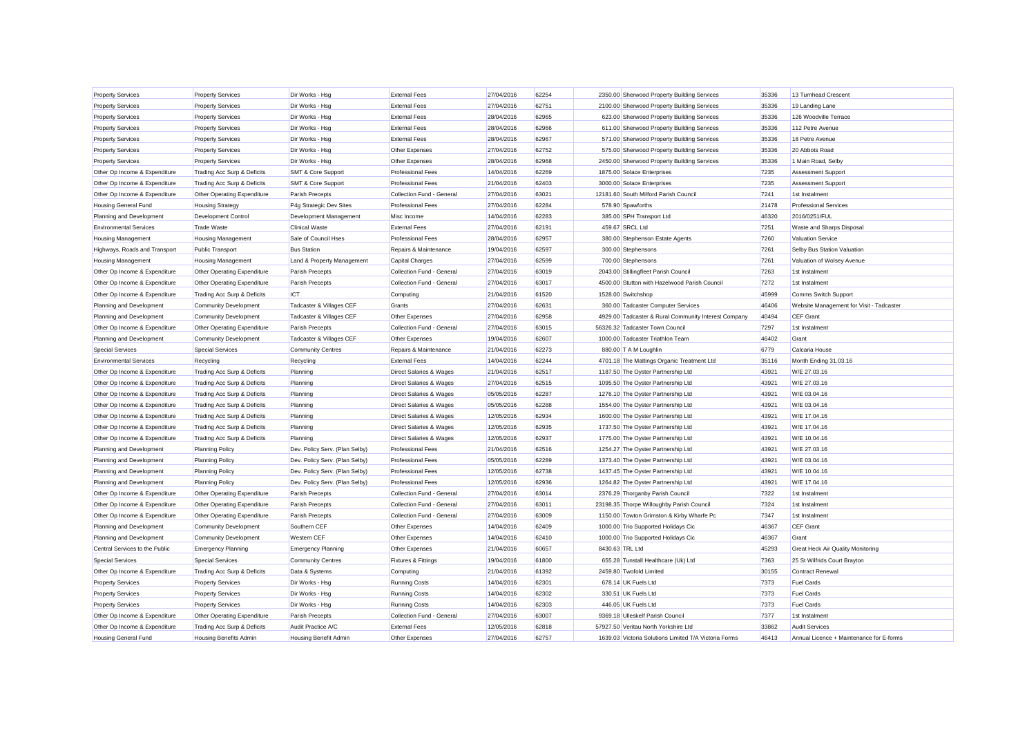| <b>Property Services</b>       | <b>Property Services</b>      | Dir Works - Hsg                | <b>External Fees</b>               | 27/04/2016 | 62254 |                                       | 2350.00 Sherwood Property Building Services           | 35336 | 13 Turnhead Crescent                     |
|--------------------------------|-------------------------------|--------------------------------|------------------------------------|------------|-------|---------------------------------------|-------------------------------------------------------|-------|------------------------------------------|
| <b>Property Services</b>       | <b>Property Services</b>      | Dir Works - Hsg                | <b>External Fees</b>               | 27/04/2016 | 62751 |                                       | 2100.00 Sherwood Property Building Services           | 35336 | 19 Landing Lane                          |
| <b>Property Services</b>       | <b>Property Services</b>      | Dir Works - Hsg                | <b>External Fees</b>               | 28/04/2016 | 62965 |                                       | 623.00 Sherwood Property Building Services            | 35336 | 126 Woodville Terrace                    |
| <b>Property Services</b>       | <b>Property Services</b>      | Dir Works - Hsg                | <b>External Fees</b>               | 28/04/2016 | 62966 |                                       | 611.00 Sherwood Property Building Services            | 35336 | 112 Petre Avenue                         |
| <b>Property Services</b>       | <b>Property Services</b>      | Dir Works - Hsg                | <b>External Fees</b>               | 28/04/2016 | 62967 |                                       | 571.00 Sherwood Property Building Services            | 35336 | 18 Petre Avenue                          |
| <b>Property Services</b>       | <b>Property Services</b>      | Dir Works - Hsg                | Other Expenses                     | 27/04/2016 | 62752 |                                       | 575.00 Sherwood Property Building Services            | 35336 | 20 Abbots Road                           |
| <b>Property Services</b>       | <b>Property Services</b>      | Dir Works - Hsg                | Other Expenses                     | 28/04/2016 | 62968 |                                       | 2450.00 Sherwood Property Building Services           | 35336 | 1 Main Road, Selby                       |
| Other Op Income & Expenditure  | Trading Acc Surp & Deficits   | <b>SMT &amp; Core Support</b>  | <b>Professional Fees</b>           | 14/04/2016 | 62269 | 1875.00 Solace Enterprises            |                                                       | 7235  | <b>Assessment Support</b>                |
| Other Op Income & Expenditure  | Trading Acc Surp & Deficits   | <b>SMT &amp; Core Support</b>  | <b>Professional Fees</b>           | 21/04/2016 | 62403 | 3000.00 Solace Enterprises            |                                                       | 7235  | <b>Assessment Support</b>                |
| Other Op Income & Expenditure  | Other Operating Expenditure   | Parish Precepts                | Collection Fund - General          | 27/04/2016 | 63021 | 12181.60 South Milford Parish Council |                                                       | 7241  | 1st Instalment                           |
| <b>Housing General Fund</b>    | <b>Housing Strategy</b>       | P4g Strategic Dev Sites        | <b>Professional Fees</b>           | 27/04/2016 | 62284 | 578.90 Spawforths                     |                                                       | 21478 | <b>Professional Services</b>             |
| Planning and Development       | Development Control           | Development Management         | Misc Income                        | 14/04/2016 | 62283 | 385.00 SPH Transport Ltd              |                                                       | 46320 | 2016/0251/FUL                            |
| <b>Environmental Services</b>  | <b>Trade Waste</b>            | <b>Clinical Waste</b>          | <b>External Fees</b>               | 27/04/2016 | 62191 | 459.67 SRCL Ltd                       |                                                       | 7251  | Waste and Sharps Disposal                |
| <b>Housing Management</b>      | <b>Housing Management</b>     | Sale of Council Hses           | <b>Professional Fees</b>           | 28/04/2016 | 62957 | 380.00 Stephenson Estate Agents       |                                                       | 7260  | <b>Valuation Service</b>                 |
| Highways, Roads and Transport  | <b>Public Transport</b>       | <b>Bus Station</b>             | Repairs & Maintenance              | 19/04/2016 | 62597 | 300.00 Stephensons                    |                                                       | 7261  | Selby Bus Station Valuation              |
| <b>Housing Management</b>      | <b>Housing Management</b>     | Land & Property Management     | Capital Charges                    | 27/04/2016 | 62599 | 700.00 Stephensons                    |                                                       | 7261  | Valuation of Wolsey Avenue               |
| Other Op Income & Expenditure  | Other Operating Expenditure   | Parish Precepts                | Collection Fund - General          | 27/04/2016 | 63019 | 2043.00 Stillingfleet Parish Council  |                                                       | 7263  | 1st Instalment                           |
| Other Op Income & Expenditure  | Other Operating Expenditure   | Parish Precepts                | Collection Fund - General          | 27/04/2016 | 63017 |                                       | 4500.00 Stutton with Hazelwood Parish Council         | 7272  | 1st Instalment                           |
| Other Op Income & Expenditure  | Trading Acc Surp & Deficits   | <b>ICT</b>                     | Computing                          | 21/04/2016 | 61520 | 1528.00 Switchshop                    |                                                       | 45999 | Comms Switch Support                     |
| Planning and Development       | <b>Community Development</b>  | Tadcaster & Villages CEF       | Grants                             | 27/04/2016 | 62631 |                                       | 360.00 Tadcaster Computer Services                    | 46406 | Website Management for Visit - Tadcaster |
| Planning and Development       | <b>Community Development</b>  | Tadcaster & Villages CEF       | Other Expenses                     | 27/04/2016 | 62958 |                                       | 4929.00 Tadcaster & Rural Community Interest Company  | 40494 | CEF Grant                                |
| Other Op Income & Expenditure  | Other Operating Expenditure   | Parish Precepts                | Collection Fund - General          | 27/04/2016 | 63015 | 56326.32 Tadcaster Town Council       |                                                       | 7297  | 1st Instalment                           |
| Planning and Development       | <b>Community Development</b>  | Tadcaster & Villages CEF       | Other Expenses                     | 19/04/2016 | 62607 | 1000.00 Tadcaster Triathlon Team      |                                                       | 46402 | Grant                                    |
| <b>Special Services</b>        | <b>Special Services</b>       | <b>Community Centres</b>       | Repairs & Maintenance              | 21/04/2016 | 62273 | 880.00 T A M Loughlin                 |                                                       | 6779  | Calcaria House                           |
| <b>Environmental Services</b>  | Recycling                     | Recycling                      | <b>External Fees</b>               | 14/04/2016 | 62244 |                                       | 4701.18 The Maltings Organic Treatment Ltd            | 35116 | Month Ending 31.03.16                    |
| Other Op Income & Expenditure  | Trading Acc Surp & Deficits   | Planning                       | <b>Direct Salaries &amp; Wages</b> | 21/04/2016 | 62517 | 1187.50 The Oyster Partnership Ltd    |                                                       | 43921 | W/E 27.03.16                             |
| Other Op Income & Expenditure  | Trading Acc Surp & Deficits   | Planning                       | <b>Direct Salaries &amp; Wages</b> | 27/04/2016 | 62515 | 1095.50 The Oyster Partnership Ltd    |                                                       | 43921 | W/E 27.03.16                             |
| Other Op Income & Expenditure  | Trading Acc Surp & Deficits   | Planning                       | <b>Direct Salaries &amp; Wages</b> | 05/05/2016 | 62287 | 1276.10 The Oyster Partnership Ltd    |                                                       | 43921 | W/E 03.04.16                             |
| Other Op Income & Expenditure  | Trading Acc Surp & Deficits   | Planning                       | <b>Direct Salaries &amp; Wages</b> | 05/05/2016 | 62288 | 1554.00 The Oyster Partnership Ltd    |                                                       | 43921 | W/E 03.04.16                             |
| Other Op Income & Expenditure  | Trading Acc Surp & Deficits   | Planning                       | Direct Salaries & Wages            | 12/05/2016 | 62934 | 1600.00 The Oyster Partnership Ltd    |                                                       | 43921 | W/E 17.04.16                             |
| Other Op Income & Expenditure  | Trading Acc Surp & Deficits   | Planning                       | Direct Salaries & Wages            | 12/05/2016 | 62935 | 1737.50 The Oyster Partnership Ltd    |                                                       | 43921 | W/E 17.04.16                             |
| Other Op Income & Expenditure  | Trading Acc Surp & Deficits   | Planning                       | Direct Salaries & Wages            | 12/05/2016 | 62937 | 1775.00 The Oyster Partnership Ltd    |                                                       | 43921 | W/E 10.04.16                             |
| Planning and Development       | <b>Planning Policy</b>        | Dev. Policy Serv. (Plan Selby) | <b>Professional Fees</b>           | 21/04/2016 | 62516 | 1254.27 The Oyster Partnership Ltd    |                                                       | 43921 | W/E 27.03.16                             |
| Planning and Development       | <b>Planning Policy</b>        | Dev. Policy Serv. (Plan Selby) | <b>Professional Fees</b>           | 05/05/2016 | 62289 | 1373.40 The Oyster Partnership Ltd    |                                                       | 43921 | W/E 03.04.16                             |
| Planning and Development       | <b>Planning Policy</b>        | Dev. Policy Serv. (Plan Selby) | <b>Professional Fees</b>           | 12/05/2016 | 62738 | 1437.45 The Oyster Partnership Ltd    |                                                       | 43921 | W/E 10.04.16                             |
| Planning and Development       | <b>Planning Policy</b>        | Dev. Policy Serv. (Plan Selby) | <b>Professional Fees</b>           | 12/05/2016 | 62936 | 1264.82 The Oyster Partnership Ltd    |                                                       | 43921 | W/E 17.04.16                             |
| Other Op Income & Expenditure  | Other Operating Expenditure   | Parish Precepts                | Collection Fund - General          | 27/04/2016 | 63014 | 2376.29 Thorganby Parish Council      |                                                       | 7322  | 1st Instalment                           |
| Other Op Income & Expenditure  | Other Operating Expenditure   | Parish Precepts                | Collection Fund - General          | 27/04/2016 | 63011 |                                       | 23198.35 Thorpe Willoughby Parish Council             | 7324  | 1st Instalment                           |
| Other Op Income & Expenditure  | Other Operating Expenditure   | Parish Precepts                | Collection Fund - General          | 27/04/2016 | 63009 |                                       | 1150.00 Towton Grimston & Kirby Wharfe Pc             | 7347  | 1st Instalment                           |
| Planning and Development       | <b>Community Development</b>  | Southern CEF                   | Other Expenses                     | 14/04/2016 | 62409 |                                       | 1000.00 Trio Supported Holidays Cic                   | 46367 | CFF Grant                                |
| Planning and Development       | <b>Community Development</b>  | Western CEF                    | Other Expenses                     | 14/04/2016 | 62410 | 1000.00 Trio Supported Holidays Cic   |                                                       | 46367 | Grant                                    |
| Central Services to the Public | <b>Emergency Planning</b>     | <b>Emergency Planning</b>      | Other Expenses                     | 21/04/2016 | 60657 | 8430.63 TRL Ltd                       |                                                       | 45293 | <b>Great Heck Air Quality Monitoring</b> |
| <b>Special Services</b>        | <b>Special Services</b>       | <b>Community Centres</b>       | <b>Fixtures &amp; Fittings</b>     | 19/04/2016 | 61800 |                                       | 655.28 Tunstall Healthcare (Uk) Ltd                   | 7363  | 25 St Wilfrids Court Brayton             |
| Other Op Income & Expenditure  | Trading Acc Surp & Deficits   | Data & Systems                 | Computing                          | 21/04/2016 | 61392 | 2459.80 Twofold Limited               |                                                       | 30155 | <b>Contract Renewal</b>                  |
| <b>Property Services</b>       | <b>Property Services</b>      | Dir Works - Hsg                | <b>Running Costs</b>               | 14/04/2016 | 62301 | 678.14 UK Fuels Ltd                   |                                                       | 7373  | <b>Fuel Cards</b>                        |
| <b>Property Services</b>       | <b>Property Services</b>      | Dir Works - Hsg                | <b>Running Costs</b>               | 14/04/2016 | 62302 | 330.51 UK Fuels Ltd                   |                                                       | 7373  | <b>Fuel Cards</b>                        |
| <b>Property Services</b>       | <b>Property Services</b>      | Dir Works - Hsg                | <b>Running Costs</b>               | 14/04/2016 | 62303 | 446.05 UK Fuels Ltd                   |                                                       | 7373  | <b>Fuel Cards</b>                        |
| Other Op Income & Expenditure  | Other Operating Expenditure   | Parish Precepts                | Collection Fund - General          | 27/04/2016 | 63007 | 9369.18 Ulleskelf Parish Council      |                                                       | 7377  | 1st Instalment                           |
| Other Op Income & Expenditure  | Trading Acc Surp & Deficits   | Audit Practice A/C             | <b>External Fees</b>               | 12/05/2016 | 62818 | 57927.50 Veritau North Yorkshire Ltd  |                                                       | 33862 | <b>Audit Services</b>                    |
| <b>Housing General Fund</b>    | <b>Housing Benefits Admin</b> | Housing Benefit Admin          | Other Expenses                     | 27/04/2016 | 62757 |                                       | 1639.03 Victoria Solutions Limited T/A Victoria Forms | 46413 | Annual Licence + Maintenance for E-forms |